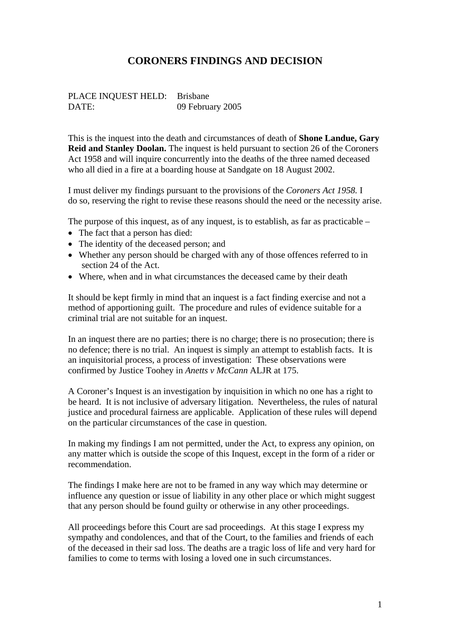# **CORONERS FINDINGS AND DECISION**

PLACE INQUEST HELD: Brisbane DATE: 09 February 2005

This is the inquest into the death and circumstances of death of **Shone Landue, Gary Reid and Stanley Doolan.** The inquest is held pursuant to section 26 of the Coroners Act 1958 and will inquire concurrently into the deaths of the three named deceased who all died in a fire at a boarding house at Sandgate on 18 August 2002.

I must deliver my findings pursuant to the provisions of the *Coroners Act 1958.* I do so, reserving the right to revise these reasons should the need or the necessity arise.

The purpose of this inquest, as of any inquest, is to establish, as far as practicable –

- The fact that a person has died:
- The identity of the deceased person; and
- Whether any person should be charged with any of those offences referred to in section 24 of the Act.
- Where, when and in what circumstances the deceased came by their death

It should be kept firmly in mind that an inquest is a fact finding exercise and not a method of apportioning guilt. The procedure and rules of evidence suitable for a criminal trial are not suitable for an inquest.

In an inquest there are no parties; there is no charge; there is no prosecution; there is no defence; there is no trial. An inquest is simply an attempt to establish facts. It is an inquisitorial process, a process of investigation: These observations were confirmed by Justice Toohey in *Anetts v McCann* ALJR at 175.

A Coroner's Inquest is an investigation by inquisition in which no one has a right to be heard. It is not inclusive of adversary litigation. Nevertheless, the rules of natural justice and procedural fairness are applicable. Application of these rules will depend on the particular circumstances of the case in question.

In making my findings I am not permitted, under the Act, to express any opinion, on any matter which is outside the scope of this Inquest, except in the form of a rider or recommendation.

The findings I make here are not to be framed in any way which may determine or influence any question or issue of liability in any other place or which might suggest that any person should be found guilty or otherwise in any other proceedings.

All proceedings before this Court are sad proceedings. At this stage I express my sympathy and condolences, and that of the Court, to the families and friends of each of the deceased in their sad loss. The deaths are a tragic loss of life and very hard for families to come to terms with losing a loved one in such circumstances.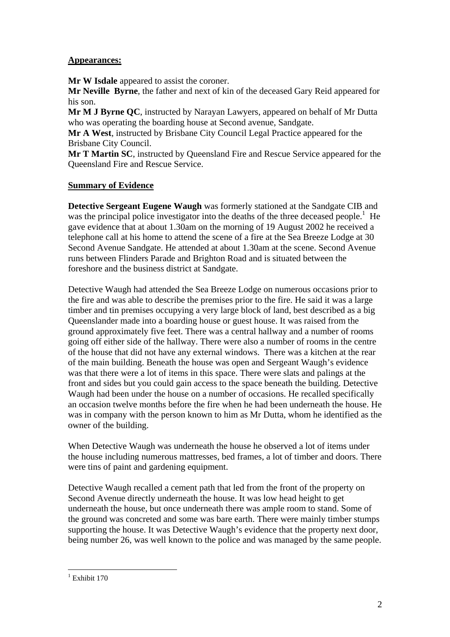#### **Appearances:**

**Mr W Isdale** appeared to assist the coroner.

**Mr Neville Byrne**, the father and next of kin of the deceased Gary Reid appeared for his son.

**Mr M J Byrne QC**, instructed by Narayan Lawyers, appeared on behalf of Mr Dutta who was operating the boarding house at Second avenue, Sandgate.

**Mr A West**, instructed by Brisbane City Council Legal Practice appeared for the Brisbane City Council.

**Mr T Martin SC**, instructed by Queensland Fire and Rescue Service appeared for the Queensland Fire and Rescue Service.

#### **Summary of Evidence**

**Detective Sergeant Eugene Waugh** was formerly stationed at the Sandgate CIB and was the principal police investigator into the deaths of the three deceased people.<sup>1</sup> He gave evidence that at about 1.30am on the morning of 19 August 2002 he received a telephone call at his home to attend the scene of a fire at the Sea Breeze Lodge at 30 Second Avenue Sandgate. He attended at about 1.30am at the scene. Second Avenue runs between Flinders Parade and Brighton Road and is situated between the foreshore and the business district at Sandgate.

Detective Waugh had attended the Sea Breeze Lodge on numerous occasions prior to the fire and was able to describe the premises prior to the fire. He said it was a large timber and tin premises occupying a very large block of land, best described as a big Queenslander made into a boarding house or guest house. It was raised from the ground approximately five feet. There was a central hallway and a number of rooms going off either side of the hallway. There were also a number of rooms in the centre of the house that did not have any external windows. There was a kitchen at the rear of the main building. Beneath the house was open and Sergeant Waugh's evidence was that there were a lot of items in this space. There were slats and palings at the front and sides but you could gain access to the space beneath the building. Detective Waugh had been under the house on a number of occasions. He recalled specifically an occasion twelve months before the fire when he had been underneath the house. He was in company with the person known to him as Mr Dutta, whom he identified as the owner of the building.

When Detective Waugh was underneath the house he observed a lot of items under the house including numerous mattresses, bed frames, a lot of timber and doors. There were tins of paint and gardening equipment.

Detective Waugh recalled a cement path that led from the front of the property on Second Avenue directly underneath the house. It was low head height to get underneath the house, but once underneath there was ample room to stand. Some of the ground was concreted and some was bare earth. There were mainly timber stumps supporting the house. It was Detective Waugh's evidence that the property next door, being number 26, was well known to the police and was managed by the same people.

<sup>&</sup>lt;sup>1</sup> Exhibit 170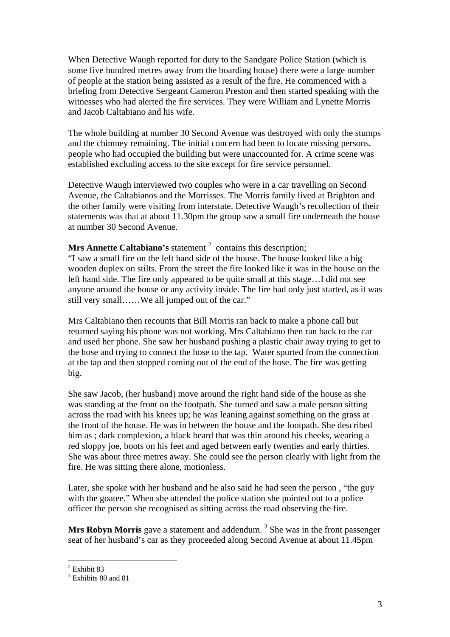When Detective Waugh reported for duty to the Sandgate Police Station (which is some five hundred metres away from the boarding house) there were a large number of people at the station being assisted as a result of the fire. He commenced with a briefing from Detective Sergeant Cameron Preston and then started speaking with the witnesses who had alerted the fire services. They were William and Lynette Morris and Jacob Caltabiano and his wife.

The whole building at number 30 Second Avenue was destroyed with only the stumps and the chimney remaining. The initial concern had been to locate missing persons, people who had occupied the building but were unaccounted for. A crime scene was established excluding access to the site except for fire service personnel.

Detective Waugh interviewed two couples who were in a car travelling on Second Avenue, the Caltabianos and the Morrisses. The Morris family lived at Brighton and the other family were visiting from interstate. Detective Waugh's recollection of their statements was that at about 11.30pm the group saw a small fire underneath the house at number 30 Second Avenue.

## **Mrs Annette Caltabiano's** statement <sup>2</sup> contains this description;

"I saw a small fire on the left hand side of the house. The house looked like a big wooden duplex on stilts. From the street the fire looked like it was in the house on the left hand side. The fire only appeared to be quite small at this stage…I did not see anyone around the house or any activity inside. The fire had only just started, as it was still very small……We all jumped out of the car."

Mrs Caltabiano then recounts that Bill Morris ran back to make a phone call but returned saying his phone was not working. Mrs Caltabiano then ran back to the car and used her phone. She saw her husband pushing a plastic chair away trying to get to the hose and trying to connect the hose to the tap. Water spurted from the connection at the tap and then stopped coming out of the end of the hose. The fire was getting big.

She saw Jacob, (her husband) move around the right hand side of the house as she was standing at the front on the footpath. She turned and saw a male person sitting across the road with his knees up; he was leaning against something on the grass at the front of the house. He was in between the house and the footpath. She described him as ; dark complexion, a black beard that was thin around his cheeks, wearing a red sloppy joe, boots on his feet and aged between early twenties and early thirties. She was about three metres away. She could see the person clearly with light from the fire. He was sitting there alone, motionless.

Later, she spoke with her husband and he also said he had seen the person , "the guy with the goatee." When she attended the police station she pointed out to a police officer the person she recognised as sitting across the road observing the fire.

**Mrs Robyn Morris** gave a statement and addendum. <sup>3</sup> She was in the front passenger seat of her husband's car as they proceeded along Second Avenue at about 11.45pm

<sup>2</sup> Exhibit 83

<sup>&</sup>lt;sup>3</sup> Exhibits 80 and 81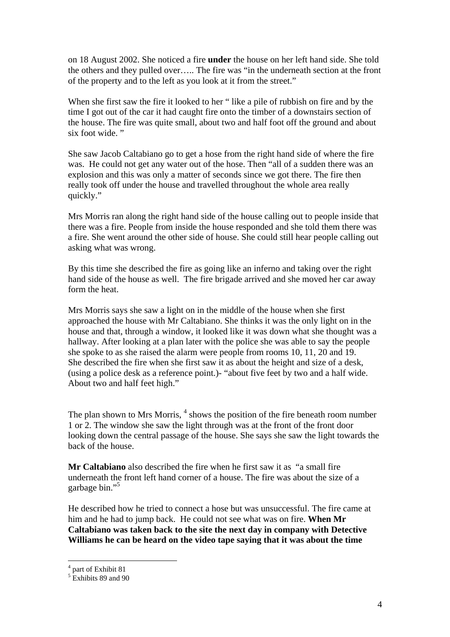on 18 August 2002. She noticed a fire **under** the house on her left hand side. She told the others and they pulled over….. The fire was "in the underneath section at the front of the property and to the left as you look at it from the street."

When she first saw the fire it looked to her "like a pile of rubbish on fire and by the time I got out of the car it had caught fire onto the timber of a downstairs section of the house. The fire was quite small, about two and half foot off the ground and about six foot wide."

She saw Jacob Caltabiano go to get a hose from the right hand side of where the fire was. He could not get any water out of the hose. Then "all of a sudden there was an explosion and this was only a matter of seconds since we got there. The fire then really took off under the house and travelled throughout the whole area really quickly."

Mrs Morris ran along the right hand side of the house calling out to people inside that there was a fire. People from inside the house responded and she told them there was a fire. She went around the other side of house. She could still hear people calling out asking what was wrong.

By this time she described the fire as going like an inferno and taking over the right hand side of the house as well. The fire brigade arrived and she moved her car away form the heat.

Mrs Morris says she saw a light on in the middle of the house when she first approached the house with Mr Caltabiano. She thinks it was the only light on in the house and that, through a window, it looked like it was down what she thought was a hallway. After looking at a plan later with the police she was able to say the people she spoke to as she raised the alarm were people from rooms 10, 11, 20 and 19. She described the fire when she first saw it as about the height and size of a desk, (using a police desk as a reference point.)- "about five feet by two and a half wide. About two and half feet high."

The plan shown to Mrs Morris,  $4$  shows the position of the fire beneath room number 1 or 2. The window she saw the light through was at the front of the front door looking down the central passage of the house. She says she saw the light towards the back of the house.

**Mr Caltabiano** also described the fire when he first saw it as "a small fire underneath the front left hand corner of a house. The fire was about the size of a garbage bin."<sup>5</sup>

He described how he tried to connect a hose but was unsuccessful. The fire came at him and he had to jump back. He could not see what was on fire. **When Mr Caltabiano was taken back to the site the next day in company with Detective Williams he can be heard on the video tape saying that it was about the time** 

<sup>4</sup> part of Exhibit 81

<sup>&</sup>lt;sup>5</sup> Exhibits 89 and 90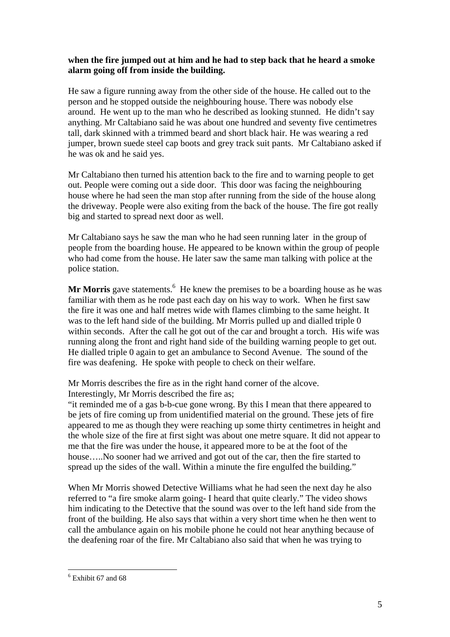#### **when the fire jumped out at him and he had to step back that he heard a smoke alarm going off from inside the building.**

He saw a figure running away from the other side of the house. He called out to the person and he stopped outside the neighbouring house. There was nobody else around. He went up to the man who he described as looking stunned. He didn't say anything. Mr Caltabiano said he was about one hundred and seventy five centimetres tall, dark skinned with a trimmed beard and short black hair. He was wearing a red jumper, brown suede steel cap boots and grey track suit pants. Mr Caltabiano asked if he was ok and he said yes.

Mr Caltabiano then turned his attention back to the fire and to warning people to get out. People were coming out a side door. This door was facing the neighbouring house where he had seen the man stop after running from the side of the house along the driveway. People were also exiting from the back of the house. The fire got really big and started to spread next door as well.

Mr Caltabiano says he saw the man who he had seen running later in the group of people from the boarding house. He appeared to be known within the group of people who had come from the house. He later saw the same man talking with police at the police station.

Mr Morris gave statements.<sup>6</sup> He knew the premises to be a boarding house as he was familiar with them as he rode past each day on his way to work. When he first saw the fire it was one and half metres wide with flames climbing to the same height. It was to the left hand side of the building. Mr Morris pulled up and dialled triple 0 within seconds. After the call he got out of the car and brought a torch. His wife was running along the front and right hand side of the building warning people to get out. He dialled triple 0 again to get an ambulance to Second Avenue. The sound of the fire was deafening. He spoke with people to check on their welfare.

Mr Morris describes the fire as in the right hand corner of the alcove. Interestingly, Mr Morris described the fire as;

"it reminded me of a gas b-b-cue gone wrong. By this I mean that there appeared to be jets of fire coming up from unidentified material on the ground. These jets of fire appeared to me as though they were reaching up some thirty centimetres in height and the whole size of the fire at first sight was about one metre square. It did not appear to me that the fire was under the house, it appeared more to be at the foot of the house.....No sooner had we arrived and got out of the car, then the fire started to spread up the sides of the wall. Within a minute the fire engulfed the building."

When Mr Morris showed Detective Williams what he had seen the next day he also referred to "a fire smoke alarm going- I heard that quite clearly." The video shows him indicating to the Detective that the sound was over to the left hand side from the front of the building. He also says that within a very short time when he then went to call the ambulance again on his mobile phone he could not hear anything because of the deafening roar of the fire. Mr Caltabiano also said that when he was trying to

<sup>6</sup> Exhibit 67 and 68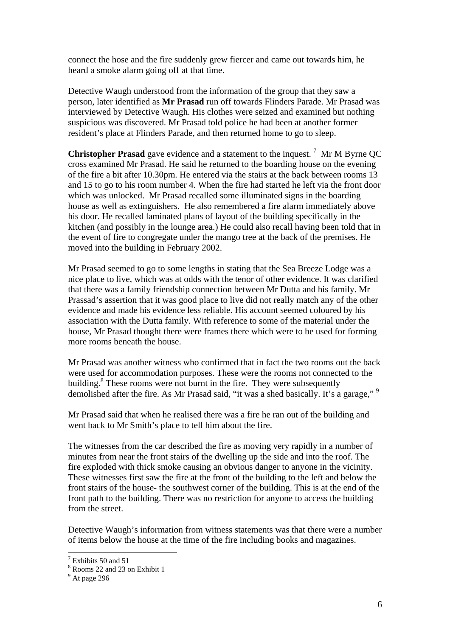connect the hose and the fire suddenly grew fiercer and came out towards him, he heard a smoke alarm going off at that time.

Detective Waugh understood from the information of the group that they saw a person, later identified as **Mr Prasad** run off towards Flinders Parade. Mr Prasad was interviewed by Detective Waugh. His clothes were seized and examined but nothing suspicious was discovered. Mr Prasad told police he had been at another former resident's place at Flinders Parade, and then returned home to go to sleep.

**Christopher Prasad** gave evidence and a statement to the inquest.<sup>7</sup> Mr M Byrne QC cross examined Mr Prasad. He said he returned to the boarding house on the evening of the fire a bit after 10.30pm. He entered via the stairs at the back between rooms 13 and 15 to go to his room number 4. When the fire had started he left via the front door which was unlocked. Mr Prasad recalled some illuminated signs in the boarding house as well as extinguishers. He also remembered a fire alarm immediately above his door. He recalled laminated plans of layout of the building specifically in the kitchen (and possibly in the lounge area.) He could also recall having been told that in the event of fire to congregate under the mango tree at the back of the premises. He moved into the building in February 2002.

Mr Prasad seemed to go to some lengths in stating that the Sea Breeze Lodge was a nice place to live, which was at odds with the tenor of other evidence. It was clarified that there was a family friendship connection between Mr Dutta and his family. Mr Prassad's assertion that it was good place to live did not really match any of the other evidence and made his evidence less reliable. His account seemed coloured by his association with the Dutta family. With reference to some of the material under the house, Mr Prasad thought there were frames there which were to be used for forming more rooms beneath the house.

Mr Prasad was another witness who confirmed that in fact the two rooms out the back were used for accommodation purposes. These were the rooms not connected to the building.<sup>8</sup> These rooms were not burnt in the fire. They were subsequently demolished after the fire. As Mr Prasad said, "it was a shed basically. It's a garage," <sup>9</sup>

Mr Prasad said that when he realised there was a fire he ran out of the building and went back to Mr Smith's place to tell him about the fire.

The witnesses from the car described the fire as moving very rapidly in a number of minutes from near the front stairs of the dwelling up the side and into the roof. The fire exploded with thick smoke causing an obvious danger to anyone in the vicinity. These witnesses first saw the fire at the front of the building to the left and below the front stairs of the house- the southwest corner of the building. This is at the end of the front path to the building. There was no restriction for anyone to access the building from the street.

Detective Waugh's information from witness statements was that there were a number of items below the house at the time of the fire including books and magazines.

<sup>7</sup> Exhibits 50 and 51

<sup>8</sup> Rooms 22 and 23 on Exhibit 1

 $9$  At page 296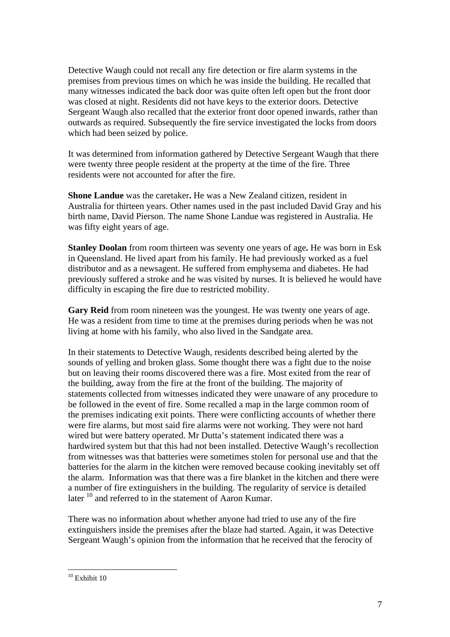Detective Waugh could not recall any fire detection or fire alarm systems in the premises from previous times on which he was inside the building. He recalled that many witnesses indicated the back door was quite often left open but the front door was closed at night. Residents did not have keys to the exterior doors. Detective Sergeant Waugh also recalled that the exterior front door opened inwards, rather than outwards as required. Subsequently the fire service investigated the locks from doors which had been seized by police.

It was determined from information gathered by Detective Sergeant Waugh that there were twenty three people resident at the property at the time of the fire. Three residents were not accounted for after the fire.

**Shone Landue** was the caretaker**.** He was a New Zealand citizen, resident in Australia for thirteen years. Other names used in the past included David Gray and his birth name, David Pierson. The name Shone Landue was registered in Australia. He was fifty eight years of age.

**Stanley Doolan** from room thirteen was seventy one years of age**.** He was born in Esk in Queensland. He lived apart from his family. He had previously worked as a fuel distributor and as a newsagent. He suffered from emphysema and diabetes. He had previously suffered a stroke and he was visited by nurses. It is believed he would have difficulty in escaping the fire due to restricted mobility.

Gary Reid from room nineteen was the youngest. He was twenty one years of age. He was a resident from time to time at the premises during periods when he was not living at home with his family, who also lived in the Sandgate area.

In their statements to Detective Waugh, residents described being alerted by the sounds of yelling and broken glass. Some thought there was a fight due to the noise but on leaving their rooms discovered there was a fire. Most exited from the rear of the building, away from the fire at the front of the building. The majority of statements collected from witnesses indicated they were unaware of any procedure to be followed in the event of fire. Some recalled a map in the large common room of the premises indicating exit points. There were conflicting accounts of whether there were fire alarms, but most said fire alarms were not working. They were not hard wired but were battery operated. Mr Dutta's statement indicated there was a hardwired system but that this had not been installed. Detective Waugh's recollection from witnesses was that batteries were sometimes stolen for personal use and that the batteries for the alarm in the kitchen were removed because cooking inevitably set off the alarm. Information was that there was a fire blanket in the kitchen and there were a number of fire extinguishers in the building. The regularity of service is detailed later <sup>10</sup> and referred to in the statement of Aaron Kumar.

There was no information about whether anyone had tried to use any of the fire extinguishers inside the premises after the blaze had started. Again, it was Detective Sergeant Waugh's opinion from the information that he received that the ferocity of

<sup>&</sup>lt;sup>10</sup> Exhibit 10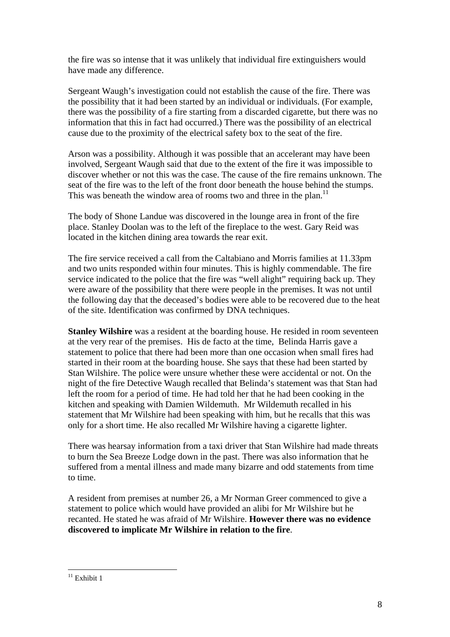the fire was so intense that it was unlikely that individual fire extinguishers would have made any difference.

Sergeant Waugh's investigation could not establish the cause of the fire. There was the possibility that it had been started by an individual or individuals. (For example, there was the possibility of a fire starting from a discarded cigarette, but there was no information that this in fact had occurred.) There was the possibility of an electrical cause due to the proximity of the electrical safety box to the seat of the fire.

Arson was a possibility. Although it was possible that an accelerant may have been involved, Sergeant Waugh said that due to the extent of the fire it was impossible to discover whether or not this was the case. The cause of the fire remains unknown. The seat of the fire was to the left of the front door beneath the house behind the stumps. This was beneath the window area of rooms two and three in the plan.<sup>11</sup>

The body of Shone Landue was discovered in the lounge area in front of the fire place. Stanley Doolan was to the left of the fireplace to the west. Gary Reid was located in the kitchen dining area towards the rear exit.

The fire service received a call from the Caltabiano and Morris families at 11.33pm and two units responded within four minutes. This is highly commendable. The fire service indicated to the police that the fire was "well alight" requiring back up. They were aware of the possibility that there were people in the premises. It was not until the following day that the deceased's bodies were able to be recovered due to the heat of the site. Identification was confirmed by DNA techniques.

**Stanley Wilshire** was a resident at the boarding house. He resided in room seventeen at the very rear of the premises. His de facto at the time, Belinda Harris gave a statement to police that there had been more than one occasion when small fires had started in their room at the boarding house. She says that these had been started by Stan Wilshire. The police were unsure whether these were accidental or not. On the night of the fire Detective Waugh recalled that Belinda's statement was that Stan had left the room for a period of time. He had told her that he had been cooking in the kitchen and speaking with Damien Wildemuth. Mr Wildemuth recalled in his statement that Mr Wilshire had been speaking with him, but he recalls that this was only for a short time. He also recalled Mr Wilshire having a cigarette lighter.

There was hearsay information from a taxi driver that Stan Wilshire had made threats to burn the Sea Breeze Lodge down in the past. There was also information that he suffered from a mental illness and made many bizarre and odd statements from time to time.

A resident from premises at number 26, a Mr Norman Greer commenced to give a statement to police which would have provided an alibi for Mr Wilshire but he recanted. He stated he was afraid of Mr Wilshire. **However there was no evidence discovered to implicate Mr Wilshire in relation to the fire**.

 $\overline{a}$  $11$  Exhibit 1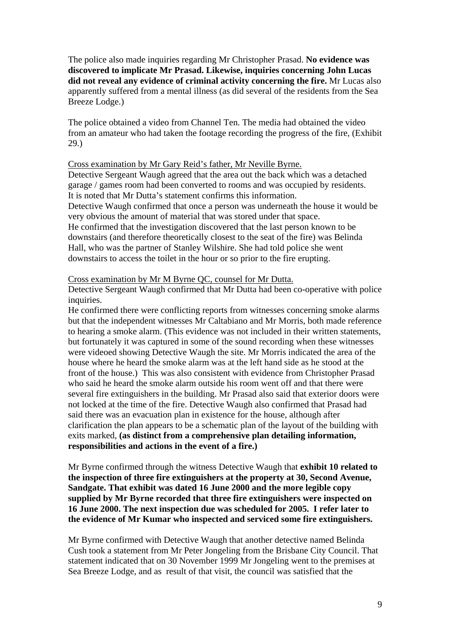The police also made inquiries regarding Mr Christopher Prasad. **No evidence was discovered to implicate Mr Prasad. Likewise, inquiries concerning John Lucas did not reveal any evidence of criminal activity concerning the fire.** Mr Lucas also apparently suffered from a mental illness (as did several of the residents from the Sea Breeze Lodge.)

The police obtained a video from Channel Ten. The media had obtained the video from an amateur who had taken the footage recording the progress of the fire, (Exhibit 29.)

#### Cross examination by Mr Gary Reid's father, Mr Neville Byrne.

Detective Sergeant Waugh agreed that the area out the back which was a detached garage / games room had been converted to rooms and was occupied by residents. It is noted that Mr Dutta's statement confirms this information. Detective Waugh confirmed that once a person was underneath the house it would be very obvious the amount of material that was stored under that space. He confirmed that the investigation discovered that the last person known to be downstairs (and therefore theoretically closest to the seat of the fire) was Belinda Hall, who was the partner of Stanley Wilshire. She had told police she went downstairs to access the toilet in the hour or so prior to the fire erupting.

#### Cross examination by Mr M Byrne QC, counsel for Mr Dutta.

Detective Sergeant Waugh confirmed that Mr Dutta had been co-operative with police inquiries.

He confirmed there were conflicting reports from witnesses concerning smoke alarms but that the independent witnesses Mr Caltabiano and Mr Morris, both made reference to hearing a smoke alarm. (This evidence was not included in their written statements, but fortunately it was captured in some of the sound recording when these witnesses were videoed showing Detective Waugh the site. Mr Morris indicated the area of the house where he heard the smoke alarm was at the left hand side as he stood at the front of the house.) This was also consistent with evidence from Christopher Prasad who said he heard the smoke alarm outside his room went off and that there were several fire extinguishers in the building. Mr Prasad also said that exterior doors were not locked at the time of the fire. Detective Waugh also confirmed that Prasad had said there was an evacuation plan in existence for the house, although after clarification the plan appears to be a schematic plan of the layout of the building with exits marked, **(as distinct from a comprehensive plan detailing information, responsibilities and actions in the event of a fire.)** 

Mr Byrne confirmed through the witness Detective Waugh that **exhibit 10 related to the inspection of three fire extinguishers at the property at 30, Second Avenue, Sandgate. That exhibit was dated 16 June 2000 and the more legible copy supplied by Mr Byrne recorded that three fire extinguishers were inspected on 16 June 2000. The next inspection due was scheduled for 2005. I refer later to the evidence of Mr Kumar who inspected and serviced some fire extinguishers.**

Mr Byrne confirmed with Detective Waugh that another detective named Belinda Cush took a statement from Mr Peter Jongeling from the Brisbane City Council. That statement indicated that on 30 November 1999 Mr Jongeling went to the premises at Sea Breeze Lodge, and as result of that visit, the council was satisfied that the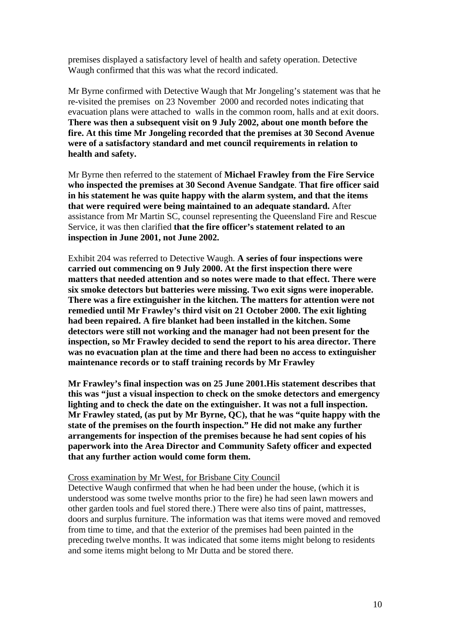premises displayed a satisfactory level of health and safety operation. Detective Waugh confirmed that this was what the record indicated.

Mr Byrne confirmed with Detective Waugh that Mr Jongeling's statement was that he re-visited the premises on 23 November 2000 and recorded notes indicating that evacuation plans were attached to walls in the common room, halls and at exit doors. **There was then a subsequent visit on 9 July 2002, about one month before the fire. At this time Mr Jongeling recorded that the premises at 30 Second Avenue were of a satisfactory standard and met council requirements in relation to health and safety.** 

Mr Byrne then referred to the statement of **Michael Frawley from the Fire Service who inspected the premises at 30 Second Avenue Sandgate**. **That fire officer said in his statement he was quite happy with the alarm system, and that the items that were required were being maintained to an adequate standard.** After assistance from Mr Martin SC, counsel representing the Queensland Fire and Rescue Service, it was then clarified **that the fire officer's statement related to an inspection in June 2001, not June 2002.**

Exhibit 204 was referred to Detective Waugh. **A series of four inspections were carried out commencing on 9 July 2000. At the first inspection there were matters that needed attention and so notes were made to that effect. There were six smoke detectors but batteries were missing. Two exit signs were inoperable. There was a fire extinguisher in the kitchen. The matters for attention were not remedied until Mr Frawley's third visit on 21 October 2000. The exit lighting had been repaired. A fire blanket had been installed in the kitchen. Some detectors were still not working and the manager had not been present for the inspection, so Mr Frawley decided to send the report to his area director. There was no evacuation plan at the time and there had been no access to extinguisher maintenance records or to staff training records by Mr Frawley** 

**Mr Frawley's final inspection was on 25 June 2001.His statement describes that this was "just a visual inspection to check on the smoke detectors and emergency lighting and to check the date on the extinguisher. It was not a full inspection. Mr Frawley stated, (as put by Mr Byrne, QC), that he was "quite happy with the state of the premises on the fourth inspection." He did not make any further arrangements for inspection of the premises because he had sent copies of his paperwork into the Area Director and Community Safety officer and expected that any further action would come form them.** 

#### Cross examination by Mr West, for Brisbane City Council

Detective Waugh confirmed that when he had been under the house, (which it is understood was some twelve months prior to the fire) he had seen lawn mowers and other garden tools and fuel stored there.) There were also tins of paint, mattresses, doors and surplus furniture. The information was that items were moved and removed from time to time, and that the exterior of the premises had been painted in the preceding twelve months. It was indicated that some items might belong to residents and some items might belong to Mr Dutta and be stored there.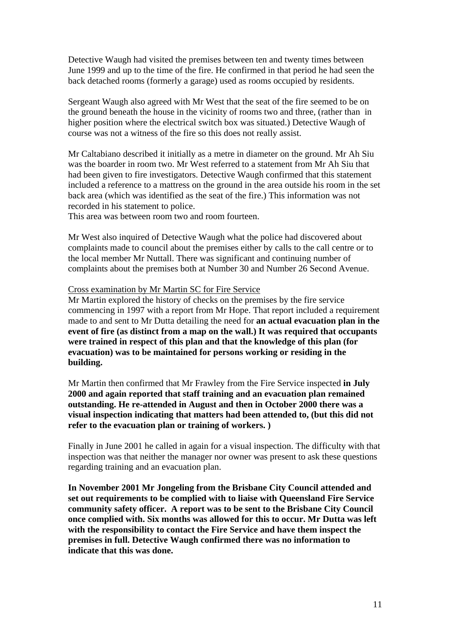Detective Waugh had visited the premises between ten and twenty times between June 1999 and up to the time of the fire. He confirmed in that period he had seen the back detached rooms (formerly a garage) used as rooms occupied by residents.

Sergeant Waugh also agreed with Mr West that the seat of the fire seemed to be on the ground beneath the house in the vicinity of rooms two and three, (rather than in higher position where the electrical switch box was situated.) Detective Waugh of course was not a witness of the fire so this does not really assist.

Mr Caltabiano described it initially as a metre in diameter on the ground. Mr Ah Siu was the boarder in room two. Mr West referred to a statement from Mr Ah Siu that had been given to fire investigators. Detective Waugh confirmed that this statement included a reference to a mattress on the ground in the area outside his room in the set back area (which was identified as the seat of the fire.) This information was not recorded in his statement to police.

This area was between room two and room fourteen.

Mr West also inquired of Detective Waugh what the police had discovered about complaints made to council about the premises either by calls to the call centre or to the local member Mr Nuttall. There was significant and continuing number of complaints about the premises both at Number 30 and Number 26 Second Avenue.

#### Cross examination by Mr Martin SC for Fire Service

Mr Martin explored the history of checks on the premises by the fire service commencing in 1997 with a report from Mr Hope. That report included a requirement made to and sent to Mr Dutta detailing the need for **an actual evacuation plan in the event of fire (as distinct from a map on the wall.) It was required that occupants were trained in respect of this plan and that the knowledge of this plan (for evacuation) was to be maintained for persons working or residing in the building.** 

Mr Martin then confirmed that Mr Frawley from the Fire Service inspected **in July 2000 and again reported that staff training and an evacuation plan remained outstanding. He re-attended in August and then in October 2000 there was a visual inspection indicating that matters had been attended to, (but this did not refer to the evacuation plan or training of workers. )** 

Finally in June 2001 he called in again for a visual inspection. The difficulty with that inspection was that neither the manager nor owner was present to ask these questions regarding training and an evacuation plan.

**In November 2001 Mr Jongeling from the Brisbane City Council attended and set out requirements to be complied with to liaise with Queensland Fire Service community safety officer. A report was to be sent to the Brisbane City Council once complied with. Six months was allowed for this to occur. Mr Dutta was left with the responsibility to contact the Fire Service and have them inspect the premises in full. Detective Waugh confirmed there was no information to indicate that this was done.**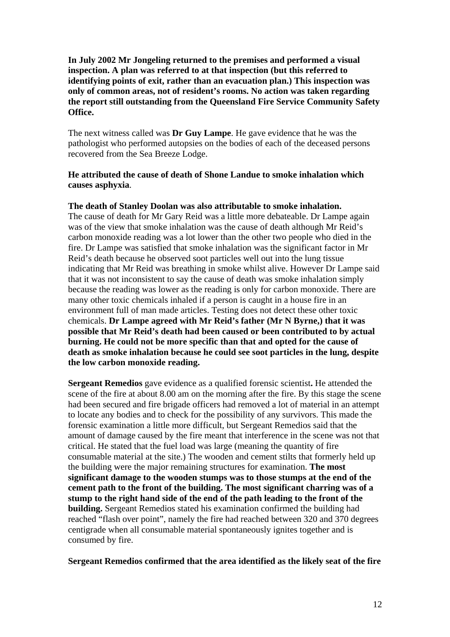#### **In July 2002 Mr Jongeling returned to the premises and performed a visual inspection. A plan was referred to at that inspection (but this referred to identifying points of exit, rather than an evacuation plan.) This inspection was only of common areas, not of resident's rooms. No action was taken regarding the report still outstanding from the Queensland Fire Service Community Safety Office.**

The next witness called was **Dr Guy Lampe**. He gave evidence that he was the pathologist who performed autopsies on the bodies of each of the deceased persons recovered from the Sea Breeze Lodge.

#### **He attributed the cause of death of Shone Landue to smoke inhalation which causes asphyxia**.

#### **The death of Stanley Doolan was also attributable to smoke inhalation.**

The cause of death for Mr Gary Reid was a little more debateable. Dr Lampe again was of the view that smoke inhalation was the cause of death although Mr Reid's carbon monoxide reading was a lot lower than the other two people who died in the fire. Dr Lampe was satisfied that smoke inhalation was the significant factor in Mr Reid's death because he observed soot particles well out into the lung tissue indicating that Mr Reid was breathing in smoke whilst alive. However Dr Lampe said that it was not inconsistent to say the cause of death was smoke inhalation simply because the reading was lower as the reading is only for carbon monoxide. There are many other toxic chemicals inhaled if a person is caught in a house fire in an environment full of man made articles. Testing does not detect these other toxic chemicals. **Dr Lampe agreed with Mr Reid's father (Mr N Byrne,) that it was possible that Mr Reid's death had been caused or been contributed to by actual burning. He could not be more specific than that and opted for the cause of death as smoke inhalation because he could see soot particles in the lung, despite the low carbon monoxide reading.** 

**Sergeant Remedios** gave evidence as a qualified forensic scientist**.** He attended the scene of the fire at about 8.00 am on the morning after the fire. By this stage the scene had been secured and fire brigade officers had removed a lot of material in an attempt to locate any bodies and to check for the possibility of any survivors. This made the forensic examination a little more difficult, but Sergeant Remedios said that the amount of damage caused by the fire meant that interference in the scene was not that critical. He stated that the fuel load was large (meaning the quantity of fire consumable material at the site.) The wooden and cement stilts that formerly held up the building were the major remaining structures for examination. **The most significant damage to the wooden stumps was to those stumps at the end of the cement path to the front of the building. The most significant charring was of a stump to the right hand side of the end of the path leading to the front of the building.** Sergeant Remedios stated his examination confirmed the building had reached "flash over point", namely the fire had reached between 320 and 370 degrees centigrade when all consumable material spontaneously ignites together and is consumed by fire.

**Sergeant Remedios confirmed that the area identified as the likely seat of the fire**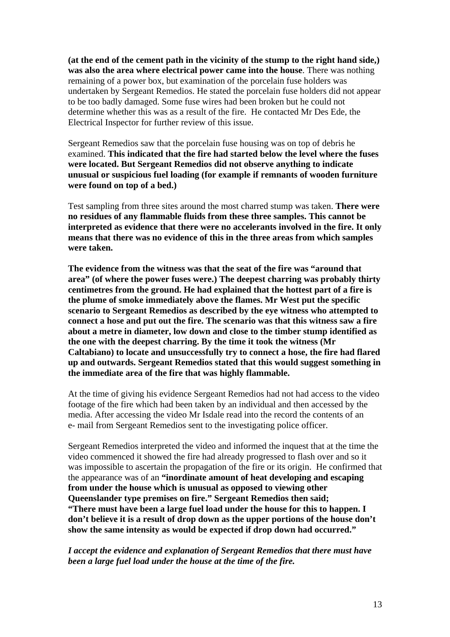**(at the end of the cement path in the vicinity of the stump to the right hand side,) was also the area where electrical power came into the house**. There was nothing remaining of a power box, but examination of the porcelain fuse holders was undertaken by Sergeant Remedios. He stated the porcelain fuse holders did not appear to be too badly damaged. Some fuse wires had been broken but he could not determine whether this was as a result of the fire. He contacted Mr Des Ede, the Electrical Inspector for further review of this issue.

Sergeant Remedios saw that the porcelain fuse housing was on top of debris he examined. **This indicated that the fire had started below the level where the fuses were located. But Sergeant Remedios did not observe anything to indicate unusual or suspicious fuel loading (for example if remnants of wooden furniture were found on top of a bed.)** 

Test sampling from three sites around the most charred stump was taken. **There were no residues of any flammable fluids from these three samples. This cannot be interpreted as evidence that there were no accelerants involved in the fire. It only means that there was no evidence of this in the three areas from which samples were taken.** 

**The evidence from the witness was that the seat of the fire was "around that area" (of where the power fuses were.) The deepest charring was probably thirty centimetres from the ground. He had explained that the hottest part of a fire is the plume of smoke immediately above the flames. Mr West put the specific scenario to Sergeant Remedios as described by the eye witness who attempted to connect a hose and put out the fire. The scenario was that this witness saw a fire about a metre in diameter, low down and close to the timber stump identified as the one with the deepest charring. By the time it took the witness (Mr Caltabiano) to locate and unsuccessfully try to connect a hose, the fire had flared up and outwards. Sergeant Remedios stated that this would suggest something in the immediate area of the fire that was highly flammable.** 

At the time of giving his evidence Sergeant Remedios had not had access to the video footage of the fire which had been taken by an individual and then accessed by the media. After accessing the video Mr Isdale read into the record the contents of an e- mail from Sergeant Remedios sent to the investigating police officer.

Sergeant Remedios interpreted the video and informed the inquest that at the time the video commenced it showed the fire had already progressed to flash over and so it was impossible to ascertain the propagation of the fire or its origin. He confirmed that the appearance was of an **"inordinate amount of heat developing and escaping from under the house which is unusual as opposed to viewing other Queenslander type premises on fire." Sergeant Remedios then said; "There must have been a large fuel load under the house for this to happen. I don't believe it is a result of drop down as the upper portions of the house don't show the same intensity as would be expected if drop down had occurred."** 

*I accept the evidence and explanation of Sergeant Remedios that there must have been a large fuel load under the house at the time of the fire.*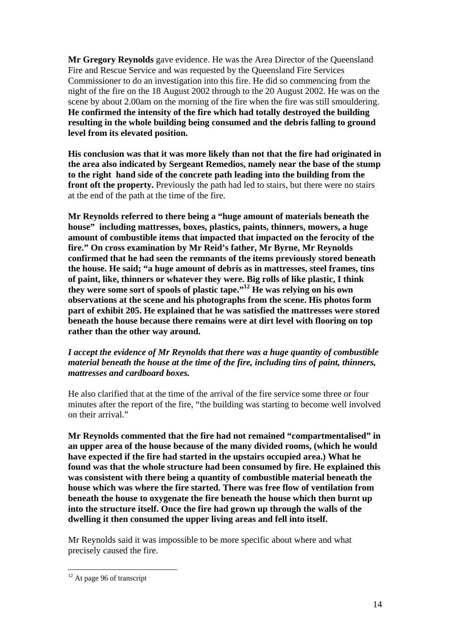**Mr Gregory Reynolds** gave evidence. He was the Area Director of the Queensland Fire and Rescue Service and was requested by the Queensland Fire Services Commissioner to do an investigation into this fire. He did so commencing from the night of the fire on the 18 August 2002 through to the 20 August 2002. He was on the scene by about 2.00am on the morning of the fire when the fire was still smouldering. **He confirmed the intensity of the fire which had totally destroyed the building resulting in the whole building being consumed and the debris falling to ground level from its elevated position.** 

**His conclusion was that it was more likely than not that the fire had originated in the area also indicated by Sergeant Remedios, namely near the base of the stump to the right hand side of the concrete path leading into the building from the front oft the property.** Previously the path had led to stairs, but there were no stairs at the end of the path at the time of the fire.

**Mr Reynolds referred to there being a "huge amount of materials beneath the house" including mattresses, boxes, plastics, paints, thinners, mowers, a huge amount of combustible items that impacted that impacted on the ferocity of the fire." On cross examination by Mr Reid's father, Mr Byrne, Mr Reynolds confirmed that he had seen the remnants of the items previously stored beneath the house. He said; "a huge amount of debris as in mattresses, steel frames, tins of paint, like, thinners or whatever they were. Big rolls of like plastic, I think they were some sort of spools of plastic tape."12 He was relying on his own observations at the scene and his photographs from the scene. His photos form part of exhibit 205. He explained that he was satisfied the mattresses were stored beneath the house because there remains were at dirt level with flooring on top rather than the other way around.** 

#### *I accept the evidence of Mr Reynolds that there was a huge quantity of combustible material beneath the house at the time of the fire, including tins of paint, thinners, mattresses and cardboard boxes.*

He also clarified that at the time of the arrival of the fire service some three or four minutes after the report of the fire, "the building was starting to become well involved on their arrival."

**Mr Reynolds commented that the fire had not remained "compartmentalised" in an upper area of the house because of the many divided rooms, (which he would have expected if the fire had started in the upstairs occupied area.) What he found was that the whole structure had been consumed by fire. He explained this was consistent with there being a quantity of combustible material beneath the house which was where the fire started. There was free flow of ventilation from beneath the house to oxygenate the fire beneath the house which then burnt up into the structure itself. Once the fire had grown up through the walls of the dwelling it then consumed the upper living areas and fell into itself.** 

Mr Reynolds said it was impossible to be more specific about where and what precisely caused the fire.

 $12$  At page 96 of transcript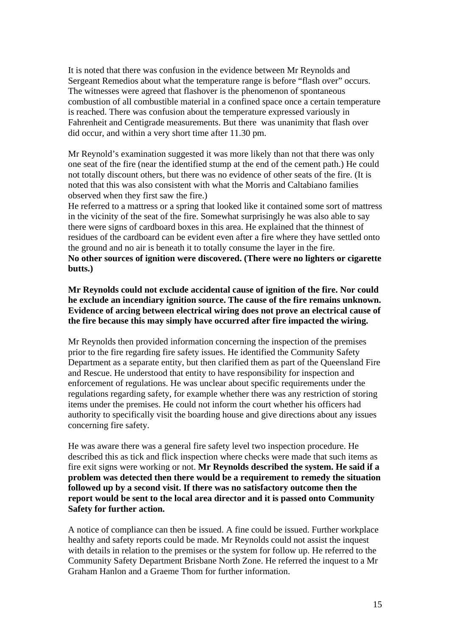It is noted that there was confusion in the evidence between Mr Reynolds and Sergeant Remedios about what the temperature range is before "flash over" occurs. The witnesses were agreed that flashover is the phenomenon of spontaneous combustion of all combustible material in a confined space once a certain temperature is reached. There was confusion about the temperature expressed variously in Fahrenheit and Centigrade measurements. But there was unanimity that flash over did occur, and within a very short time after 11.30 pm.

Mr Reynold's examination suggested it was more likely than not that there was only one seat of the fire (near the identified stump at the end of the cement path.) He could not totally discount others, but there was no evidence of other seats of the fire. (It is noted that this was also consistent with what the Morris and Caltabiano families observed when they first saw the fire.)

He referred to a mattress or a spring that looked like it contained some sort of mattress in the vicinity of the seat of the fire. Somewhat surprisingly he was also able to say there were signs of cardboard boxes in this area. He explained that the thinnest of residues of the cardboard can be evident even after a fire where they have settled onto the ground and no air is beneath it to totally consume the layer in the fire. **No other sources of ignition were discovered. (There were no lighters or cigarette butts.)** 

**Mr Reynolds could not exclude accidental cause of ignition of the fire. Nor could he exclude an incendiary ignition source. The cause of the fire remains unknown. Evidence of arcing between electrical wiring does not prove an electrical cause of the fire because this may simply have occurred after fire impacted the wiring.** 

Mr Reynolds then provided information concerning the inspection of the premises prior to the fire regarding fire safety issues. He identified the Community Safety Department as a separate entity, but then clarified them as part of the Queensland Fire and Rescue. He understood that entity to have responsibility for inspection and enforcement of regulations. He was unclear about specific requirements under the regulations regarding safety, for example whether there was any restriction of storing items under the premises. He could not inform the court whether his officers had authority to specifically visit the boarding house and give directions about any issues concerning fire safety.

He was aware there was a general fire safety level two inspection procedure. He described this as tick and flick inspection where checks were made that such items as fire exit signs were working or not. **Mr Reynolds described the system. He said if a problem was detected then there would be a requirement to remedy the situation followed up by a second visit. If there was no satisfactory outcome then the report would be sent to the local area director and it is passed onto Community Safety for further action.** 

A notice of compliance can then be issued. A fine could be issued. Further workplace healthy and safety reports could be made. Mr Reynolds could not assist the inquest with details in relation to the premises or the system for follow up. He referred to the Community Safety Department Brisbane North Zone. He referred the inquest to a Mr Graham Hanlon and a Graeme Thom for further information.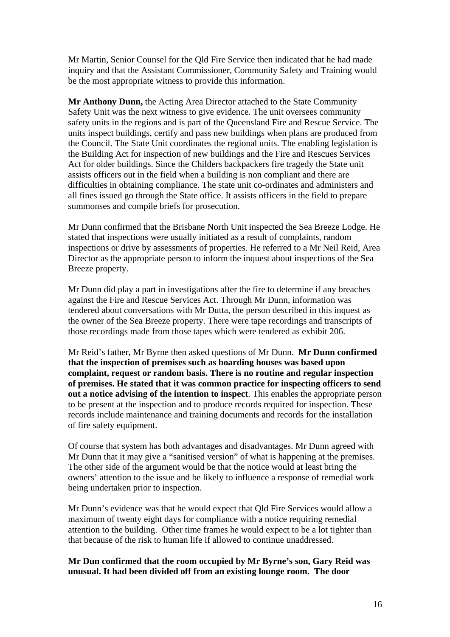Mr Martin, Senior Counsel for the Qld Fire Service then indicated that he had made inquiry and that the Assistant Commissioner, Community Safety and Training would be the most appropriate witness to provide this information.

**Mr Anthony Dunn,** the Acting Area Director attached to the State Community Safety Unit was the next witness to give evidence. The unit oversees community safety units in the regions and is part of the Queensland Fire and Rescue Service. The units inspect buildings, certify and pass new buildings when plans are produced from the Council. The State Unit coordinates the regional units. The enabling legislation is the Building Act for inspection of new buildings and the Fire and Rescues Services Act for older buildings. Since the Childers backpackers fire tragedy the State unit assists officers out in the field when a building is non compliant and there are difficulties in obtaining compliance. The state unit co-ordinates and administers and all fines issued go through the State office. It assists officers in the field to prepare summonses and compile briefs for prosecution.

Mr Dunn confirmed that the Brisbane North Unit inspected the Sea Breeze Lodge. He stated that inspections were usually initiated as a result of complaints, random inspections or drive by assessments of properties. He referred to a Mr Neil Reid, Area Director as the appropriate person to inform the inquest about inspections of the Sea Breeze property.

Mr Dunn did play a part in investigations after the fire to determine if any breaches against the Fire and Rescue Services Act. Through Mr Dunn, information was tendered about conversations with Mr Dutta, the person described in this inquest as the owner of the Sea Breeze property. There were tape recordings and transcripts of those recordings made from those tapes which were tendered as exhibit 206.

Mr Reid's father, Mr Byrne then asked questions of Mr Dunn. **Mr Dunn confirmed that the inspection of premises such as boarding houses was based upon complaint, request or random basis. There is no routine and regular inspection of premises. He stated that it was common practice for inspecting officers to send out a notice advising of the intention to inspect**. This enables the appropriate person to be present at the inspection and to produce records required for inspection. These records include maintenance and training documents and records for the installation of fire safety equipment.

Of course that system has both advantages and disadvantages. Mr Dunn agreed with Mr Dunn that it may give a "sanitised version" of what is happening at the premises. The other side of the argument would be that the notice would at least bring the owners' attention to the issue and be likely to influence a response of remedial work being undertaken prior to inspection.

Mr Dunn's evidence was that he would expect that Qld Fire Services would allow a maximum of twenty eight days for compliance with a notice requiring remedial attention to the building. Other time frames he would expect to be a lot tighter than that because of the risk to human life if allowed to continue unaddressed.

#### **Mr Dun confirmed that the room occupied by Mr Byrne's son, Gary Reid was unusual. It had been divided off from an existing lounge room. The door**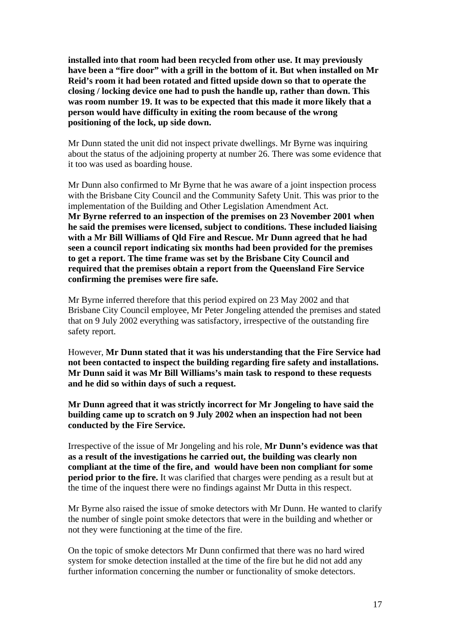**installed into that room had been recycled from other use. It may previously have been a "fire door" with a grill in the bottom of it. But when installed on Mr Reid's room it had been rotated and fitted upside down so that to operate the closing / locking device one had to push the handle up, rather than down. This was room number 19. It was to be expected that this made it more likely that a person would have difficulty in exiting the room because of the wrong positioning of the lock, up side down.** 

Mr Dunn stated the unit did not inspect private dwellings. Mr Byrne was inquiring about the status of the adjoining property at number 26. There was some evidence that it too was used as boarding house.

Mr Dunn also confirmed to Mr Byrne that he was aware of a joint inspection process with the Brisbane City Council and the Community Safety Unit. This was prior to the implementation of the Building and Other Legislation Amendment Act. **Mr Byrne referred to an inspection of the premises on 23 November 2001 when he said the premises were licensed, subject to conditions. These included liaising with a Mr Bill Williams of Qld Fire and Rescue. Mr Dunn agreed that he had seen a council report indicating six months had been provided for the premises to get a report. The time frame was set by the Brisbane City Council and required that the premises obtain a report from the Queensland Fire Service confirming the premises were fire safe.** 

Mr Byrne inferred therefore that this period expired on 23 May 2002 and that Brisbane City Council employee, Mr Peter Jongeling attended the premises and stated that on 9 July 2002 everything was satisfactory, irrespective of the outstanding fire safety report.

However, **Mr Dunn stated that it was his understanding that the Fire Service had not been contacted to inspect the building regarding fire safety and installations. Mr Dunn said it was Mr Bill Williams's main task to respond to these requests and he did so within days of such a request.** 

**Mr Dunn agreed that it was strictly incorrect for Mr Jongeling to have said the building came up to scratch on 9 July 2002 when an inspection had not been conducted by the Fire Service.** 

Irrespective of the issue of Mr Jongeling and his role, **Mr Dunn's evidence was that as a result of the investigations he carried out, the building was clearly non compliant at the time of the fire, and would have been non compliant for some period prior to the fire.** It was clarified that charges were pending as a result but at the time of the inquest there were no findings against Mr Dutta in this respect.

Mr Byrne also raised the issue of smoke detectors with Mr Dunn. He wanted to clarify the number of single point smoke detectors that were in the building and whether or not they were functioning at the time of the fire.

On the topic of smoke detectors Mr Dunn confirmed that there was no hard wired system for smoke detection installed at the time of the fire but he did not add any further information concerning the number or functionality of smoke detectors.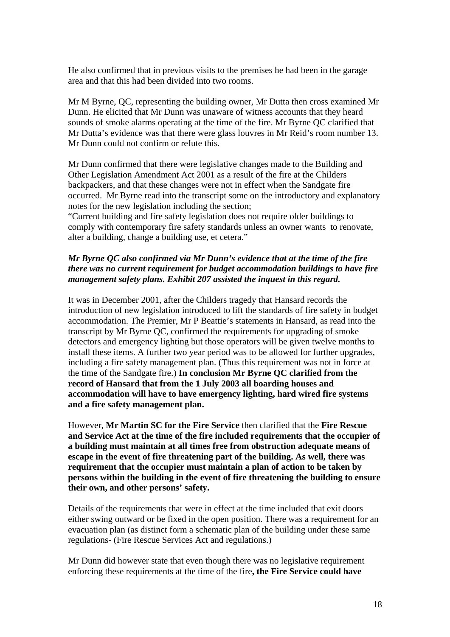He also confirmed that in previous visits to the premises he had been in the garage area and that this had been divided into two rooms.

Mr M Byrne, QC, representing the building owner, Mr Dutta then cross examined Mr Dunn. He elicited that Mr Dunn was unaware of witness accounts that they heard sounds of smoke alarms operating at the time of the fire. Mr Byrne QC clarified that Mr Dutta's evidence was that there were glass louvres in Mr Reid's room number 13. Mr Dunn could not confirm or refute this.

Mr Dunn confirmed that there were legislative changes made to the Building and Other Legislation Amendment Act 2001 as a result of the fire at the Childers backpackers, and that these changes were not in effect when the Sandgate fire occurred. Mr Byrne read into the transcript some on the introductory and explanatory notes for the new legislation including the section;

"Current building and fire safety legislation does not require older buildings to comply with contemporary fire safety standards unless an owner wants to renovate, alter a building, change a building use, et cetera."

#### *Mr Byrne QC also confirmed via Mr Dunn's evidence that at the time of the fire there was no current requirement for budget accommodation buildings to have fire management safety plans. Exhibit 207 assisted the inquest in this regard.*

It was in December 2001, after the Childers tragedy that Hansard records the introduction of new legislation introduced to lift the standards of fire safety in budget accommodation. The Premier, Mr P Beattie's statements in Hansard, as read into the transcript by Mr Byrne QC, confirmed the requirements for upgrading of smoke detectors and emergency lighting but those operators will be given twelve months to install these items. A further two year period was to be allowed for further upgrades, including a fire safety management plan. (Thus this requirement was not in force at the time of the Sandgate fire.) **In conclusion Mr Byrne QC clarified from the record of Hansard that from the 1 July 2003 all boarding houses and accommodation will have to have emergency lighting, hard wired fire systems and a fire safety management plan.** 

However, **Mr Martin SC for the Fire Service** then clarified that the **Fire Rescue and Service Act at the time of the fire included requirements that the occupier of a building must maintain at all times free from obstruction adequate means of escape in the event of fire threatening part of the building. As well, there was requirement that the occupier must maintain a plan of action to be taken by persons within the building in the event of fire threatening the building to ensure their own, and other persons' safety.** 

Details of the requirements that were in effect at the time included that exit doors either swing outward or be fixed in the open position. There was a requirement for an evacuation plan (as distinct form a schematic plan of the building under these same regulations- (Fire Rescue Services Act and regulations.)

Mr Dunn did however state that even though there was no legislative requirement enforcing these requirements at the time of the fire**, the Fire Service could have**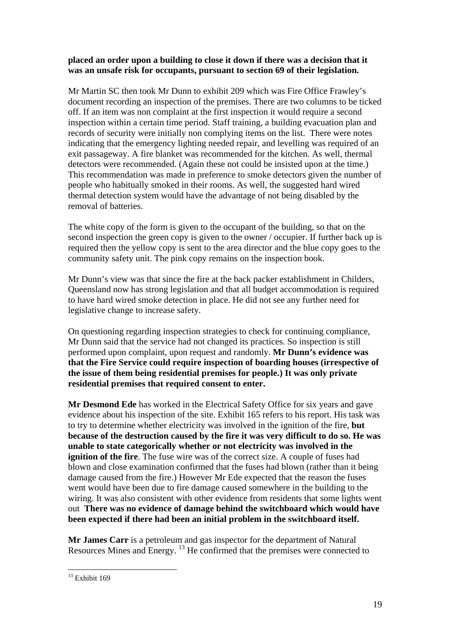#### **placed an order upon a building to close it down if there was a decision that it was an unsafe risk for occupants, pursuant to section 69 of their legislation.**

Mr Martin SC then took Mr Dunn to exhibit 209 which was Fire Office Frawley's document recording an inspection of the premises. There are two columns to be ticked off. If an item was non complaint at the first inspection it would require a second inspection within a certain time period. Staff training, a building evacuation plan and records of security were initially non complying items on the list. There were notes indicating that the emergency lighting needed repair, and levelling was required of an exit passageway. A fire blanket was recommended for the kitchen. As well, thermal detectors were recommended. (Again these not could be insisted upon at the time.) This recommendation was made in preference to smoke detectors given the number of people who habitually smoked in their rooms. As well, the suggested hard wired thermal detection system would have the advantage of not being disabled by the removal of batteries.

The white copy of the form is given to the occupant of the building, so that on the second inspection the green copy is given to the owner / occupier. If further back up is required then the yellow copy is sent to the area director and the blue copy goes to the community safety unit. The pink copy remains on the inspection book.

Mr Dunn's view was that since the fire at the back packer establishment in Childers, Queensland now has strong legislation and that all budget accommodation is required to have hard wired smoke detection in place. He did not see any further need for legislative change to increase safety.

On questioning regarding inspection strategies to check for continuing compliance, Mr Dunn said that the service had not changed its practices. So inspection is still performed upon complaint, upon request and randomly. **Mr Dunn's evidence was that the Fire Service could require inspection of boarding houses (irrespective of the issue of them being residential premises for people.) It was only private residential premises that required consent to enter.** 

**Mr Desmond Ede** has worked in the Electrical Safety Office for six years and gave evidence about his inspection of the site. Exhibit 165 refers to his report. His task was to try to determine whether electricity was involved in the ignition of the fire, **but because of the destruction caused by the fire it was very difficult to do so. He was unable to state categorically whether or not electricity was involved in the ignition of the fire**. The fuse wire was of the correct size. A couple of fuses had blown and close examination confirmed that the fuses had blown (rather than it being damage caused from the fire.) However Mr Ede expected that the reason the fuses went would have been due to fire damage caused somewhere in the building to the wiring. It was also consistent with other evidence from residents that some lights went out **There was no evidence of damage behind the switchboard which would have been expected if there had been an initial problem in the switchboard itself.** 

**Mr James Carr** is a petroleum and gas inspector for the department of Natural Resources Mines and Energy.  $^{13}$  He confirmed that the premises were connected to

 $13$  Exhibit 169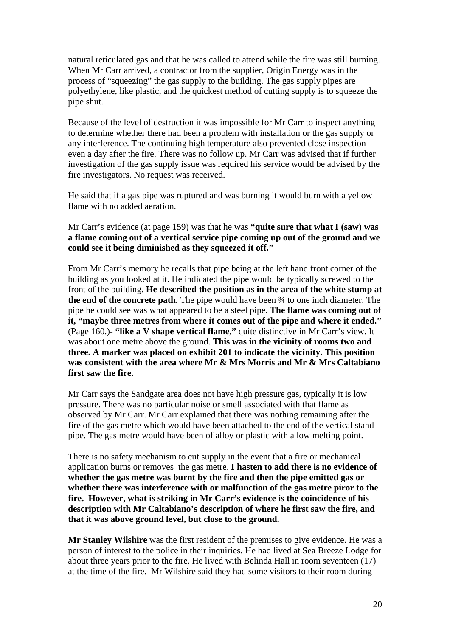natural reticulated gas and that he was called to attend while the fire was still burning. When Mr Carr arrived, a contractor from the supplier, Origin Energy was in the process of "squeezing" the gas supply to the building. The gas supply pipes are polyethylene, like plastic, and the quickest method of cutting supply is to squeeze the pipe shut.

Because of the level of destruction it was impossible for Mr Carr to inspect anything to determine whether there had been a problem with installation or the gas supply or any interference. The continuing high temperature also prevented close inspection even a day after the fire. There was no follow up. Mr Carr was advised that if further investigation of the gas supply issue was required his service would be advised by the fire investigators. No request was received.

He said that if a gas pipe was ruptured and was burning it would burn with a yellow flame with no added aeration.

Mr Carr's evidence (at page 159) was that he was **"quite sure that what I (saw) was a flame coming out of a vertical service pipe coming up out of the ground and we could see it being diminished as they squeezed it off."**

From Mr Carr's memory he recalls that pipe being at the left hand front corner of the building as you looked at it. He indicated the pipe would be typically screwed to the front of the building**. He described the position as in the area of the white stump at the end of the concrete path.** The pipe would have been ¾ to one inch diameter. The pipe he could see was what appeared to be a steel pipe. **The flame was coming out of it, "maybe three metres from where it comes out of the pipe and where it ended."** (Page 160.)- **"like a V shape vertical flame,"** quite distinctive in Mr Carr's view. It was about one metre above the ground. **This was in the vicinity of rooms two and three. A marker was placed on exhibit 201 to indicate the vicinity. This position was consistent with the area where Mr & Mrs Morris and Mr & Mrs Caltabiano first saw the fire.** 

Mr Carr says the Sandgate area does not have high pressure gas, typically it is low pressure. There was no particular noise or smell associated with that flame as observed by Mr Carr. Mr Carr explained that there was nothing remaining after the fire of the gas metre which would have been attached to the end of the vertical stand pipe. The gas metre would have been of alloy or plastic with a low melting point.

There is no safety mechanism to cut supply in the event that a fire or mechanical application burns or removes the gas metre. **I hasten to add there is no evidence of whether the gas metre was burnt by the fire and then the pipe emitted gas or whether there was interference with or malfunction of the gas metre piror to the fire. However, what is striking in Mr Carr's evidence is the coincidence of his description with Mr Caltabiano's description of where he first saw the fire, and that it was above ground level, but close to the ground.** 

**Mr Stanley Wilshire** was the first resident of the premises to give evidence. He was a person of interest to the police in their inquiries. He had lived at Sea Breeze Lodge for about three years prior to the fire. He lived with Belinda Hall in room seventeen (17) at the time of the fire. Mr Wilshire said they had some visitors to their room during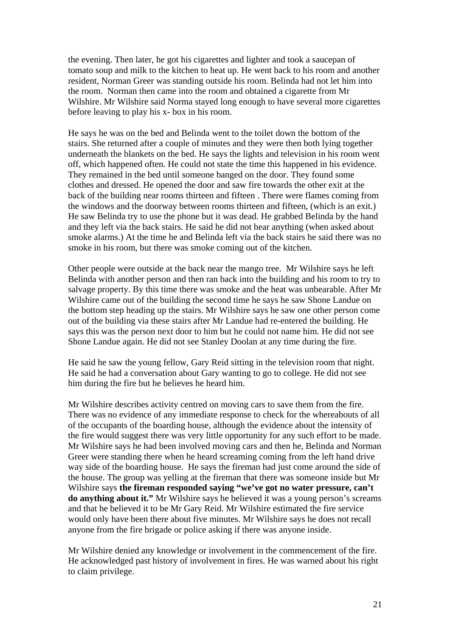the evening. Then later, he got his cigarettes and lighter and took a saucepan of tomato soup and milk to the kitchen to heat up. He went back to his room and another resident, Norman Greer was standing outside his room. Belinda had not let him into the room. Norman then came into the room and obtained a cigarette from Mr Wilshire. Mr Wilshire said Norma stayed long enough to have several more cigarettes before leaving to play his x- box in his room.

He says he was on the bed and Belinda went to the toilet down the bottom of the stairs. She returned after a couple of minutes and they were then both lying together underneath the blankets on the bed. He says the lights and television in his room went off, which happened often. He could not state the time this happened in his evidence. They remained in the bed until someone banged on the door. They found some clothes and dressed. He opened the door and saw fire towards the other exit at the back of the building near rooms thirteen and fifteen . There were flames coming from the windows and the doorway between rooms thirteen and fifteen, (which is an exit.) He saw Belinda try to use the phone but it was dead. He grabbed Belinda by the hand and they left via the back stairs. He said he did not hear anything (when asked about smoke alarms.) At the time he and Belinda left via the back stairs he said there was no smoke in his room, but there was smoke coming out of the kitchen.

Other people were outside at the back near the mango tree. Mr Wilshire says he left Belinda with another person and then ran back into the building and his room to try to salvage property. By this time there was smoke and the heat was unbearable. After Mr Wilshire came out of the building the second time he says he saw Shone Landue on the bottom step heading up the stairs. Mr Wilshire says he saw one other person come out of the building via these stairs after Mr Landue had re-entered the building. He says this was the person next door to him but he could not name him. He did not see Shone Landue again. He did not see Stanley Doolan at any time during the fire.

He said he saw the young fellow, Gary Reid sitting in the television room that night. He said he had a conversation about Gary wanting to go to college. He did not see him during the fire but he believes he heard him.

Mr Wilshire describes activity centred on moving cars to save them from the fire. There was no evidence of any immediate response to check for the whereabouts of all of the occupants of the boarding house, although the evidence about the intensity of the fire would suggest there was very little opportunity for any such effort to be made. Mr Wilshire says he had been involved moving cars and then he, Belinda and Norman Greer were standing there when he heard screaming coming from the left hand drive way side of the boarding house. He says the fireman had just come around the side of the house. The group was yelling at the fireman that there was someone inside but Mr Wilshire says **the fireman responded saying "we've got no water pressure, can't do anything about it."** Mr Wilshire says he believed it was a young person's screams and that he believed it to be Mr Gary Reid. Mr Wilshire estimated the fire service would only have been there about five minutes. Mr Wilshire says he does not recall anyone from the fire brigade or police asking if there was anyone inside.

Mr Wilshire denied any knowledge or involvement in the commencement of the fire. He acknowledged past history of involvement in fires. He was warned about his right to claim privilege.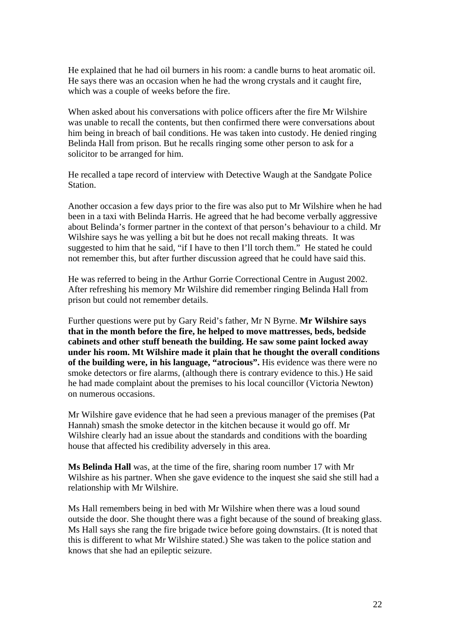He explained that he had oil burners in his room: a candle burns to heat aromatic oil. He says there was an occasion when he had the wrong crystals and it caught fire, which was a couple of weeks before the fire.

When asked about his conversations with police officers after the fire Mr Wilshire was unable to recall the contents, but then confirmed there were conversations about him being in breach of bail conditions. He was taken into custody. He denied ringing Belinda Hall from prison. But he recalls ringing some other person to ask for a solicitor to be arranged for him.

He recalled a tape record of interview with Detective Waugh at the Sandgate Police Station.

Another occasion a few days prior to the fire was also put to Mr Wilshire when he had been in a taxi with Belinda Harris. He agreed that he had become verbally aggressive about Belinda's former partner in the context of that person's behaviour to a child. Mr Wilshire says he was yelling a bit but he does not recall making threats. It was suggested to him that he said, "if I have to then I'll torch them." He stated he could not remember this, but after further discussion agreed that he could have said this.

He was referred to being in the Arthur Gorrie Correctional Centre in August 2002. After refreshing his memory Mr Wilshire did remember ringing Belinda Hall from prison but could not remember details.

Further questions were put by Gary Reid's father, Mr N Byrne. **Mr Wilshire says that in the month before the fire, he helped to move mattresses, beds, bedside cabinets and other stuff beneath the building. He saw some paint locked away under his room. Mt Wilshire made it plain that he thought the overall conditions of the building were, in his language, "atrocious".** His evidence was there were no smoke detectors or fire alarms, (although there is contrary evidence to this.) He said he had made complaint about the premises to his local councillor (Victoria Newton) on numerous occasions.

Mr Wilshire gave evidence that he had seen a previous manager of the premises (Pat Hannah) smash the smoke detector in the kitchen because it would go off. Mr Wilshire clearly had an issue about the standards and conditions with the boarding house that affected his credibility adversely in this area.

**Ms Belinda Hall** was, at the time of the fire, sharing room number 17 with Mr Wilshire as his partner. When she gave evidence to the inquest she said she still had a relationship with Mr Wilshire.

Ms Hall remembers being in bed with Mr Wilshire when there was a loud sound outside the door. She thought there was a fight because of the sound of breaking glass. Ms Hall says she rang the fire brigade twice before going downstairs. (It is noted that this is different to what Mr Wilshire stated.) She was taken to the police station and knows that she had an epileptic seizure.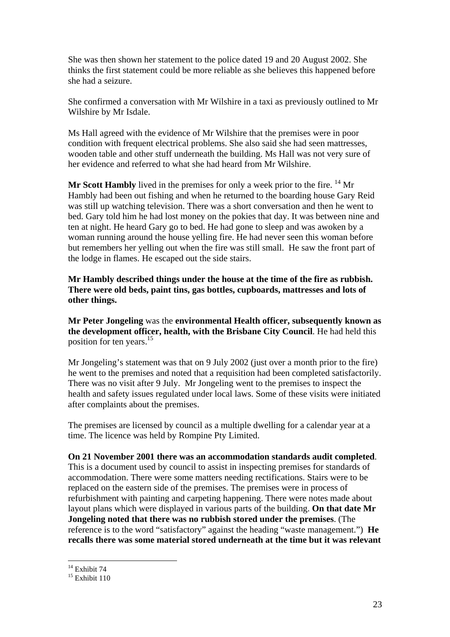She was then shown her statement to the police dated 19 and 20 August 2002. She thinks the first statement could be more reliable as she believes this happened before she had a seizure.

She confirmed a conversation with Mr Wilshire in a taxi as previously outlined to Mr Wilshire by Mr Isdale.

Ms Hall agreed with the evidence of Mr Wilshire that the premises were in poor condition with frequent electrical problems. She also said she had seen mattresses, wooden table and other stuff underneath the building. Ms Hall was not very sure of her evidence and referred to what she had heard from Mr Wilshire.

**Mr Scott Hambly** lived in the premises for only a week prior to the fire. <sup>14</sup> Mr Hambly had been out fishing and when he returned to the boarding house Gary Reid was still up watching television. There was a short conversation and then he went to bed. Gary told him he had lost money on the pokies that day. It was between nine and ten at night. He heard Gary go to bed. He had gone to sleep and was awoken by a woman running around the house yelling fire. He had never seen this woman before but remembers her yelling out when the fire was still small. He saw the front part of the lodge in flames. He escaped out the side stairs.

**Mr Hambly described things under the house at the time of the fire as rubbish. There were old beds, paint tins, gas bottles, cupboards, mattresses and lots of other things.** 

**Mr Peter Jongeling** was the **environmental Health officer, subsequently known as the development officer, health, with the Brisbane City Council**. He had held this position for ten years.<sup>15</sup>

Mr Jongeling's statement was that on 9 July 2002 (just over a month prior to the fire) he went to the premises and noted that a requisition had been completed satisfactorily. There was no visit after 9 July. Mr Jongeling went to the premises to inspect the health and safety issues regulated under local laws. Some of these visits were initiated after complaints about the premises.

The premises are licensed by council as a multiple dwelling for a calendar year at a time. The licence was held by Rompine Pty Limited.

**On 21 November 2001 there was an accommodation standards audit completed**. This is a document used by council to assist in inspecting premises for standards of accommodation. There were some matters needing rectifications. Stairs were to be replaced on the eastern side of the premises. The premises were in process of refurbishment with painting and carpeting happening. There were notes made about layout plans which were displayed in various parts of the building. **On that date Mr Jongeling noted that there was no rubbish stored under the premises**. (The reference is to the word "satisfactory" against the heading "waste management.") **He recalls there was some material stored underneath at the time but it was relevant** 

<sup>&</sup>lt;sup>14</sup> Exhibit 74

 $15$  Exhibit 110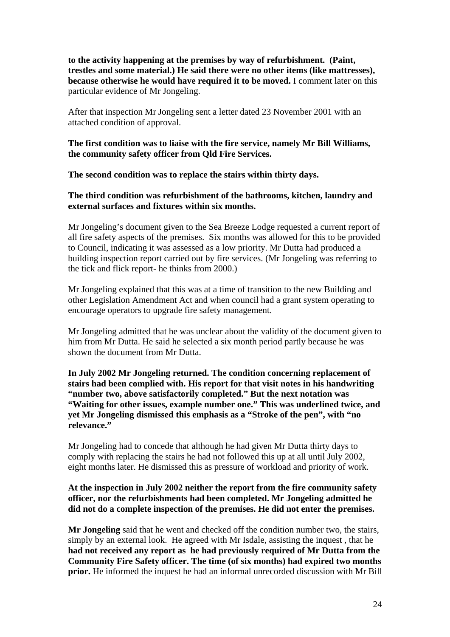**to the activity happening at the premises by way of refurbishment. (Paint, trestles and some material.) He said there were no other items (like mattresses), because otherwise he would have required it to be moved.** I comment later on this particular evidence of Mr Jongeling.

After that inspection Mr Jongeling sent a letter dated 23 November 2001 with an attached condition of approval.

#### **The first condition was to liaise with the fire service, namely Mr Bill Williams, the community safety officer from Qld Fire Services.**

**The second condition was to replace the stairs within thirty days.** 

### **The third condition was refurbishment of the bathrooms, kitchen, laundry and external surfaces and fixtures within six months.**

Mr Jongeling's document given to the Sea Breeze Lodge requested a current report of all fire safety aspects of the premises. Six months was allowed for this to be provided to Council, indicating it was assessed as a low priority. Mr Dutta had produced a building inspection report carried out by fire services. (Mr Jongeling was referring to the tick and flick report- he thinks from 2000.)

Mr Jongeling explained that this was at a time of transition to the new Building and other Legislation Amendment Act and when council had a grant system operating to encourage operators to upgrade fire safety management.

Mr Jongeling admitted that he was unclear about the validity of the document given to him from Mr Dutta. He said he selected a six month period partly because he was shown the document from Mr Dutta.

#### **In July 2002 Mr Jongeling returned. The condition concerning replacement of stairs had been complied with. His report for that visit notes in his handwriting "number two, above satisfactorily completed." But the next notation was "Waiting for other issues, example number one." This was underlined twice, and yet Mr Jongeling dismissed this emphasis as a "Stroke of the pen", with "no relevance."**

Mr Jongeling had to concede that although he had given Mr Dutta thirty days to comply with replacing the stairs he had not followed this up at all until July 2002, eight months later. He dismissed this as pressure of workload and priority of work.

### **At the inspection in July 2002 neither the report from the fire community safety officer, nor the refurbishments had been completed. Mr Jongeling admitted he did not do a complete inspection of the premises. He did not enter the premises.**

**Mr Jongeling** said that he went and checked off the condition number two, the stairs, simply by an external look. He agreed with Mr Isdale, assisting the inquest , that he **had not received any report as he had previously required of Mr Dutta from the Community Fire Safety officer. The time (of six months) had expired two months prior.** He informed the inquest he had an informal unrecorded discussion with Mr Bill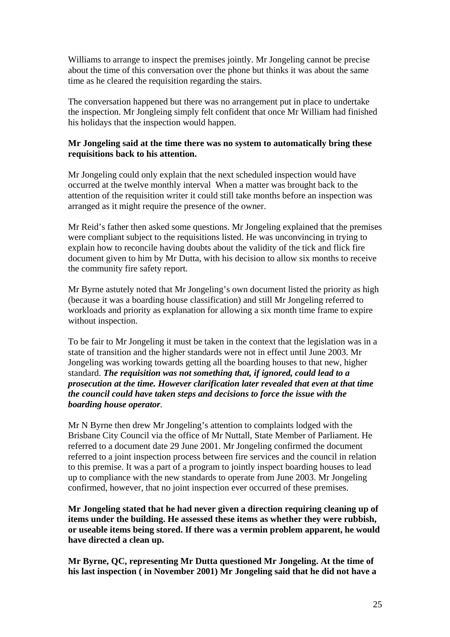Williams to arrange to inspect the premises jointly. Mr Jongeling cannot be precise about the time of this conversation over the phone but thinks it was about the same time as he cleared the requisition regarding the stairs.

The conversation happened but there was no arrangement put in place to undertake the inspection. Mr Jongleing simply felt confident that once Mr William had finished his holidays that the inspection would happen.

### **Mr Jongeling said at the time there was no system to automatically bring these requisitions back to his attention.**

Mr Jongeling could only explain that the next scheduled inspection would have occurred at the twelve monthly interval When a matter was brought back to the attention of the requisition writer it could still take months before an inspection was arranged as it might require the presence of the owner.

Mr Reid's father then asked some questions. Mr Jongeling explained that the premises were compliant subject to the requisitions listed. He was unconvincing in trying to explain how to reconcile having doubts about the validity of the tick and flick fire document given to him by Mr Dutta, with his decision to allow six months to receive the community fire safety report.

Mr Byrne astutely noted that Mr Jongeling's own document listed the priority as high (because it was a boarding house classification) and still Mr Jongeling referred to workloads and priority as explanation for allowing a six month time frame to expire without inspection.

To be fair to Mr Jongeling it must be taken in the context that the legislation was in a state of transition and the higher standards were not in effect until June 2003. Mr Jongeling was working towards getting all the boarding houses to that new, higher standard. *The requisition was not something that, if ignored, could lead to a prosecution at the time. However clarification later revealed that even at that time the council could have taken steps and decisions to force the issue with the boarding house operator.* 

Mr N Byrne then drew Mr Jongeling's attention to complaints lodged with the Brisbane City Council via the office of Mr Nuttall, State Member of Parliament. He referred to a document date 29 June 2001. Mr Jongeling confirmed the document referred to a joint inspection process between fire services and the council in relation to this premise. It was a part of a program to jointly inspect boarding houses to lead up to compliance with the new standards to operate from June 2003. Mr Jongeling confirmed, however, that no joint inspection ever occurred of these premises.

**Mr Jongeling stated that he had never given a direction requiring cleaning up of items under the building. He assessed these items as whether they were rubbish, or useable items being stored. If there was a vermin problem apparent, he would have directed a clean up.** 

**Mr Byrne, QC, representing Mr Dutta questioned Mr Jongeling. At the time of his last inspection ( in November 2001) Mr Jongeling said that he did not have a**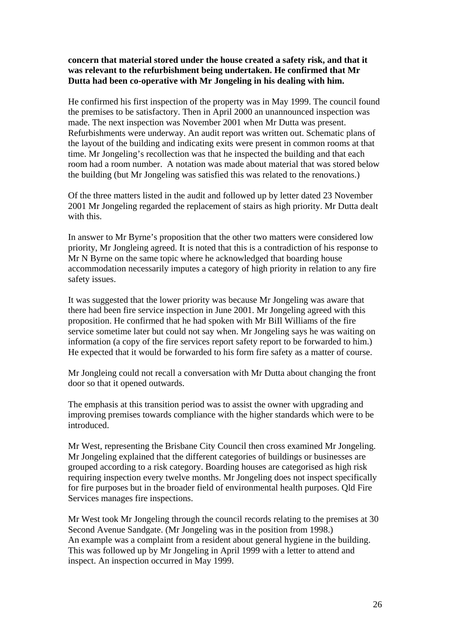#### **concern that material stored under the house created a safety risk, and that it was relevant to the refurbishment being undertaken. He confirmed that Mr Dutta had been co-operative with Mr Jongeling in his dealing with him.**

He confirmed his first inspection of the property was in May 1999. The council found the premises to be satisfactory. Then in April 2000 an unannounced inspection was made. The next inspection was November 2001 when Mr Dutta was present. Refurbishments were underway. An audit report was written out. Schematic plans of the layout of the building and indicating exits were present in common rooms at that time. Mr Jongeling's recollection was that he inspected the building and that each room had a room number. A notation was made about material that was stored below the building (but Mr Jongeling was satisfied this was related to the renovations.)

Of the three matters listed in the audit and followed up by letter dated 23 November 2001 Mr Jongeling regarded the replacement of stairs as high priority. Mr Dutta dealt with this.

In answer to Mr Byrne's proposition that the other two matters were considered low priority, Mr Jongleing agreed. It is noted that this is a contradiction of his response to Mr N Byrne on the same topic where he acknowledged that boarding house accommodation necessarily imputes a category of high priority in relation to any fire safety issues.

It was suggested that the lower priority was because Mr Jongeling was aware that there had been fire service inspection in June 2001. Mr Jongeling agreed with this proposition. He confirmed that he had spoken with Mr BiIl Williams of the fire service sometime later but could not say when. Mr Jongeling says he was waiting on information (a copy of the fire services report safety report to be forwarded to him.) He expected that it would be forwarded to his form fire safety as a matter of course.

Mr Jongleing could not recall a conversation with Mr Dutta about changing the front door so that it opened outwards.

The emphasis at this transition period was to assist the owner with upgrading and improving premises towards compliance with the higher standards which were to be introduced.

Mr West, representing the Brisbane City Council then cross examined Mr Jongeling. Mr Jongeling explained that the different categories of buildings or businesses are grouped according to a risk category. Boarding houses are categorised as high risk requiring inspection every twelve months. Mr Jongeling does not inspect specifically for fire purposes but in the broader field of environmental health purposes. Qld Fire Services manages fire inspections.

Mr West took Mr Jongeling through the council records relating to the premises at 30 Second Avenue Sandgate. (Mr Jongeling was in the position from 1998.) An example was a complaint from a resident about general hygiene in the building. This was followed up by Mr Jongeling in April 1999 with a letter to attend and inspect. An inspection occurred in May 1999.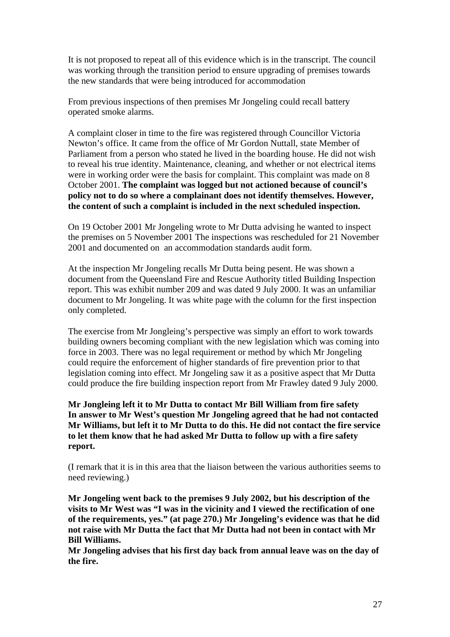It is not proposed to repeat all of this evidence which is in the transcript. The council was working through the transition period to ensure upgrading of premises towards the new standards that were being introduced for accommodation

From previous inspections of then premises Mr Jongeling could recall battery operated smoke alarms.

A complaint closer in time to the fire was registered through Councillor Victoria Newton's office. It came from the office of Mr Gordon Nuttall, state Member of Parliament from a person who stated he lived in the boarding house. He did not wish to reveal his true identity. Maintenance, cleaning, and whether or not electrical items were in working order were the basis for complaint. This complaint was made on 8 October 2001. **The complaint was logged but not actioned because of council's policy not to do so where a complainant does not identify themselves. However, the content of such a complaint is included in the next scheduled inspection.** 

On 19 October 2001 Mr Jongeling wrote to Mr Dutta advising he wanted to inspect the premises on 5 November 2001 The inspections was rescheduled for 21 November 2001 and documented on an accommodation standards audit form.

At the inspection Mr Jongeling recalls Mr Dutta being pesent. He was shown a document from the Queensland Fire and Rescue Authority titled Building Inspection report. This was exhibit number 209 and was dated 9 July 2000. It was an unfamiliar document to Mr Jongeling. It was white page with the column for the first inspection only completed.

The exercise from Mr Jongleing's perspective was simply an effort to work towards building owners becoming compliant with the new legislation which was coming into force in 2003. There was no legal requirement or method by which Mr Jongeling could require the enforcement of higher standards of fire prevention prior to that legislation coming into effect. Mr Jongeling saw it as a positive aspect that Mr Dutta could produce the fire building inspection report from Mr Frawley dated 9 July 2000.

### **Mr Jongleing left it to Mr Dutta to contact Mr Bill William from fire safety In answer to Mr West's question Mr Jongeling agreed that he had not contacted Mr Williams, but left it to Mr Dutta to do this. He did not contact the fire service to let them know that he had asked Mr Dutta to follow up with a fire safety report.**

(I remark that it is in this area that the liaison between the various authorities seems to need reviewing.)

**Mr Jongeling went back to the premises 9 July 2002, but his description of the visits to Mr West was "I was in the vicinity and I viewed the rectification of one of the requirements, yes." (at page 270.) Mr Jongeling's evidence was that he did not raise with Mr Dutta the fact that Mr Dutta had not been in contact with Mr Bill Williams.** 

**Mr Jongeling advises that his first day back from annual leave was on the day of the fire.**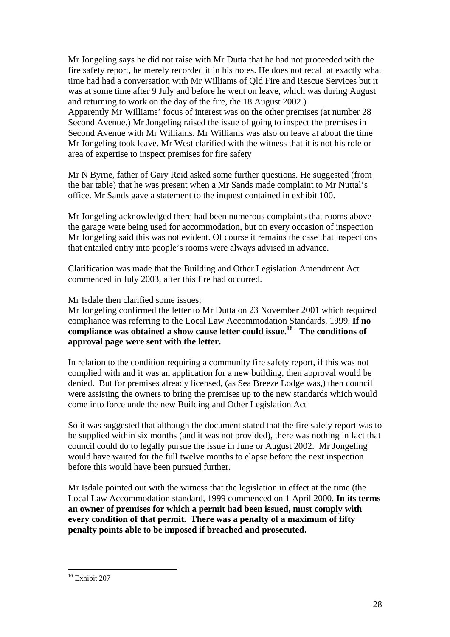Mr Jongeling says he did not raise with Mr Dutta that he had not proceeded with the fire safety report, he merely recorded it in his notes. He does not recall at exactly what time had had a conversation with Mr Williams of Qld Fire and Rescue Services but it was at some time after 9 July and before he went on leave, which was during August and returning to work on the day of the fire, the 18 August 2002.) Apparently Mr Williams' focus of interest was on the other premises (at number 28 Second Avenue.) Mr Jongeling raised the issue of going to inspect the premises in Second Avenue with Mr Williams. Mr Williams was also on leave at about the time Mr Jongeling took leave. Mr West clarified with the witness that it is not his role or area of expertise to inspect premises for fire safety

Mr N Byrne, father of Gary Reid asked some further questions. He suggested (from the bar table) that he was present when a Mr Sands made complaint to Mr Nuttal's office. Mr Sands gave a statement to the inquest contained in exhibit 100.

Mr Jongeling acknowledged there had been numerous complaints that rooms above the garage were being used for accommodation, but on every occasion of inspection Mr Jongeling said this was not evident. Of course it remains the case that inspections that entailed entry into people's rooms were always advised in advance.

Clarification was made that the Building and Other Legislation Amendment Act commenced in July 2003, after this fire had occurred.

Mr Isdale then clarified some issues;

Mr Jongeling confirmed the letter to Mr Dutta on 23 November 2001 which required compliance was referring to the Local Law Accommodation Standards. 1999. **If no compliance was obtained a show cause letter could issue.16 The conditions of approval page were sent with the letter.** 

In relation to the condition requiring a community fire safety report, if this was not complied with and it was an application for a new building, then approval would be denied. But for premises already licensed, (as Sea Breeze Lodge was,) then council were assisting the owners to bring the premises up to the new standards which would come into force unde the new Building and Other Legislation Act

So it was suggested that although the document stated that the fire safety report was to be supplied within six months (and it was not provided), there was nothing in fact that council could do to legally pursue the issue in June or August 2002. Mr Jongeling would have waited for the full twelve months to elapse before the next inspection before this would have been pursued further.

Mr Isdale pointed out with the witness that the legislation in effect at the time (the Local Law Accommodation standard, 1999 commenced on 1 April 2000. **In its terms an owner of premises for which a permit had been issued, must comply with every condition of that permit. There was a penalty of a maximum of fifty penalty points able to be imposed if breached and prosecuted.** 

 $\overline{a}$ <sup>16</sup> Exhibit 207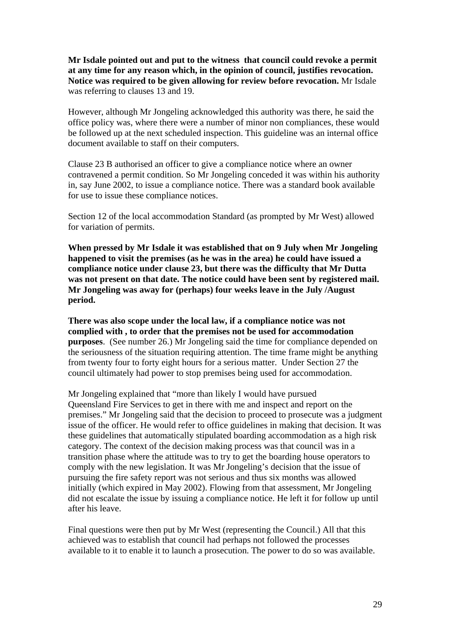**Mr Isdale pointed out and put to the witness that council could revoke a permit at any time for any reason which, in the opinion of council, justifies revocation. Notice was required to be given allowing for review before revocation.** Mr Isdale was referring to clauses 13 and 19.

However, although Mr Jongeling acknowledged this authority was there, he said the office policy was, where there were a number of minor non compliances, these would be followed up at the next scheduled inspection. This guideline was an internal office document available to staff on their computers.

Clause 23 B authorised an officer to give a compliance notice where an owner contravened a permit condition. So Mr Jongeling conceded it was within his authority in, say June 2002, to issue a compliance notice. There was a standard book available for use to issue these compliance notices.

Section 12 of the local accommodation Standard (as prompted by Mr West) allowed for variation of permits.

**When pressed by Mr Isdale it was established that on 9 July when Mr Jongeling happened to visit the premises (as he was in the area) he could have issued a compliance notice under clause 23, but there was the difficulty that Mr Dutta was not present on that date. The notice could have been sent by registered mail. Mr Jongeling was away for (perhaps) four weeks leave in the July /August period.** 

**There was also scope under the local law, if a compliance notice was not complied with , to order that the premises not be used for accommodation purposes**. (See number 26.) Mr Jongeling said the time for compliance depended on the seriousness of the situation requiring attention. The time frame might be anything from twenty four to forty eight hours for a serious matter. Under Section 27 the council ultimately had power to stop premises being used for accommodation.

Mr Jongeling explained that "more than likely I would have pursued Queensland Fire Services to get in there with me and inspect and report on the premises." Mr Jongeling said that the decision to proceed to prosecute was a judgment issue of the officer. He would refer to office guidelines in making that decision. It was these guidelines that automatically stipulated boarding accommodation as a high risk category. The context of the decision making process was that council was in a transition phase where the attitude was to try to get the boarding house operators to comply with the new legislation. It was Mr Jongeling's decision that the issue of pursuing the fire safety report was not serious and thus six months was allowed initially (which expired in May 2002). Flowing from that assessment, Mr Jongeling did not escalate the issue by issuing a compliance notice. He left it for follow up until after his leave.

Final questions were then put by Mr West (representing the Council.) All that this achieved was to establish that council had perhaps not followed the processes available to it to enable it to launch a prosecution. The power to do so was available.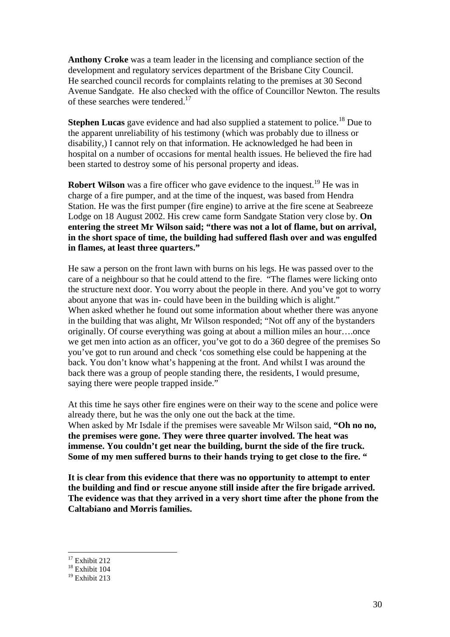**Anthony Croke** was a team leader in the licensing and compliance section of the development and regulatory services department of the Brisbane City Council. He searched council records for complaints relating to the premises at 30 Second Avenue Sandgate. He also checked with the office of Councillor Newton. The results of these searches were tendered.<sup>17</sup>

**Stephen Lucas** gave evidence and had also supplied a statement to police.<sup>18</sup> Due to the apparent unreliability of his testimony (which was probably due to illness or disability,) I cannot rely on that information. He acknowledged he had been in hospital on a number of occasions for mental health issues. He believed the fire had been started to destroy some of his personal property and ideas.

**Robert Wilson** was a fire officer who gave evidence to the inquest.<sup>19</sup> He was in charge of a fire pumper, and at the time of the inquest, was based from Hendra Station. He was the first pumper (fire engine) to arrive at the fire scene at Seabreeze Lodge on 18 August 2002. His crew came form Sandgate Station very close by. **On entering the street Mr Wilson said; "there was not a lot of flame, but on arrival, in the short space of time, the building had suffered flash over and was engulfed in flames, at least three quarters."** 

He saw a person on the front lawn with burns on his legs. He was passed over to the care of a neighbour so that he could attend to the fire. "The flames were licking onto the structure next door. You worry about the people in there. And you've got to worry about anyone that was in- could have been in the building which is alight." When asked whether he found out some information about whether there was anyone in the building that was alight, Mr Wilson responded; "Not off any of the bystanders originally. Of course everything was going at about a million miles an hour….once we get men into action as an officer, you've got to do a 360 degree of the premises So you've got to run around and check 'cos something else could be happening at the back. You don't know what's happening at the front. And whilst I was around the back there was a group of people standing there, the residents, I would presume, saying there were people trapped inside."

At this time he says other fire engines were on their way to the scene and police were already there, but he was the only one out the back at the time. When asked by Mr Isdale if the premises were saveable Mr Wilson said, **"Oh no no, the premises were gone. They were three quarter involved. The heat was immense. You couldn't get near the building, burnt the side of the fire truck. Some of my men suffered burns to their hands trying to get close to the fire. "** 

**It is clear from this evidence that there was no opportunity to attempt to enter the building and find or rescue anyone still inside after the fire brigade arrived. The evidence was that they arrived in a very short time after the phone from the Caltabiano and Morris families.** 

 $17$  Exhibit 212

 $18$  Exhibit  $104$ 

<sup>&</sup>lt;sup>19</sup> Exhibit 213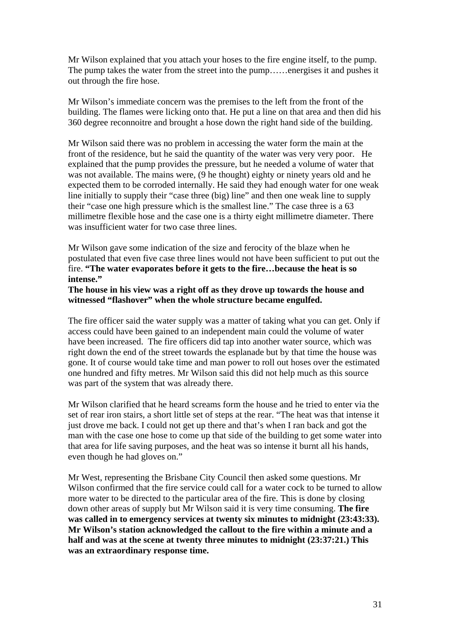Mr Wilson explained that you attach your hoses to the fire engine itself, to the pump. The pump takes the water from the street into the pump……energises it and pushes it out through the fire hose.

Mr Wilson's immediate concern was the premises to the left from the front of the building. The flames were licking onto that. He put a line on that area and then did his 360 degree reconnoitre and brought a hose down the right hand side of the building.

Mr Wilson said there was no problem in accessing the water form the main at the front of the residence, but he said the quantity of the water was very very poor. He explained that the pump provides the pressure, but he needed a volume of water that was not available. The mains were, (9 he thought) eighty or ninety years old and he expected them to be corroded internally. He said they had enough water for one weak line initially to supply their "case three (big) line" and then one weak line to supply their "case one high pressure which is the smallest line." The case three is a 63 millimetre flexible hose and the case one is a thirty eight millimetre diameter. There was insufficient water for two case three lines.

Mr Wilson gave some indication of the size and ferocity of the blaze when he postulated that even five case three lines would not have been sufficient to put out the fire. **"The water evaporates before it gets to the fire…because the heat is so intense."** 

#### **The house in his view was a right off as they drove up towards the house and witnessed "flashover" when the whole structure became engulfed.**

The fire officer said the water supply was a matter of taking what you can get. Only if access could have been gained to an independent main could the volume of water have been increased. The fire officers did tap into another water source, which was right down the end of the street towards the esplanade but by that time the house was gone. It of course would take time and man power to roll out hoses over the estimated one hundred and fifty metres. Mr Wilson said this did not help much as this source was part of the system that was already there.

Mr Wilson clarified that he heard screams form the house and he tried to enter via the set of rear iron stairs, a short little set of steps at the rear. "The heat was that intense it just drove me back. I could not get up there and that's when I ran back and got the man with the case one hose to come up that side of the building to get some water into that area for life saving purposes, and the heat was so intense it burnt all his hands, even though he had gloves on."

Mr West, representing the Brisbane City Council then asked some questions. Mr Wilson confirmed that the fire service could call for a water cock to be turned to allow more water to be directed to the particular area of the fire. This is done by closing down other areas of supply but Mr Wilson said it is very time consuming. **The fire was called in to emergency services at twenty six minutes to midnight (23:43:33). Mr Wilson's station acknowledged the callout to the fire within a minute and a half and was at the scene at twenty three minutes to midnight (23:37:21.) This was an extraordinary response time.**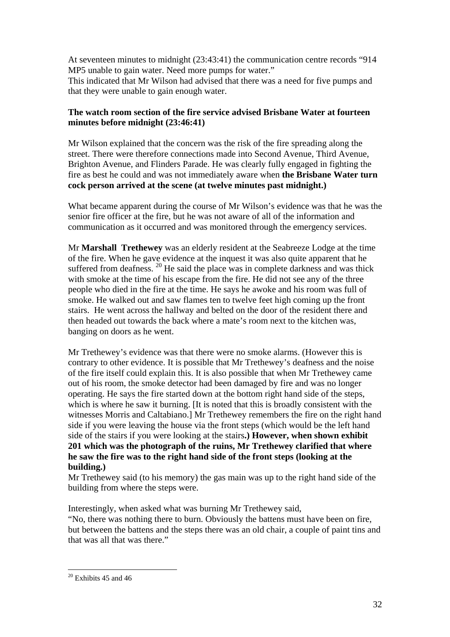At seventeen minutes to midnight (23:43:41) the communication centre records "914 MP5 unable to gain water. Need more pumps for water."

This indicated that Mr Wilson had advised that there was a need for five pumps and that they were unable to gain enough water.

#### **The watch room section of the fire service advised Brisbane Water at fourteen minutes before midnight (23:46:41)**

Mr Wilson explained that the concern was the risk of the fire spreading along the street. There were therefore connections made into Second Avenue, Third Avenue, Brighton Avenue, and Flinders Parade. He was clearly fully engaged in fighting the fire as best he could and was not immediately aware when **the Brisbane Water turn cock person arrived at the scene (at twelve minutes past midnight.)** 

What became apparent during the course of Mr Wilson's evidence was that he was the senior fire officer at the fire, but he was not aware of all of the information and communication as it occurred and was monitored through the emergency services.

Mr **Marshall Trethewey** was an elderly resident at the Seabreeze Lodge at the time of the fire. When he gave evidence at the inquest it was also quite apparent that he suffered from deafness.<sup>20</sup> He said the place was in complete darkness and was thick with smoke at the time of his escape from the fire. He did not see any of the three people who died in the fire at the time. He says he awoke and his room was full of smoke. He walked out and saw flames ten to twelve feet high coming up the front stairs. He went across the hallway and belted on the door of the resident there and then headed out towards the back where a mate's room next to the kitchen was, banging on doors as he went.

Mr Trethewey's evidence was that there were no smoke alarms. (However this is contrary to other evidence. It is possible that Mr Trethewey's deafness and the noise of the fire itself could explain this. It is also possible that when Mr Trethewey came out of his room, the smoke detector had been damaged by fire and was no longer operating. He says the fire started down at the bottom right hand side of the steps, which is where he saw it burning. [It is noted that this is broadly consistent with the witnesses Morris and Caltabiano.] Mr Trethewey remembers the fire on the right hand side if you were leaving the house via the front steps (which would be the left hand side of the stairs if you were looking at the stairs**.) However, when shown exhibit 201 which was the photograph of the ruins, Mr Trethewey clarified that where he saw the fire was to the right hand side of the front steps (looking at the building.)** 

Mr Trethewey said (to his memory) the gas main was up to the right hand side of the building from where the steps were.

Interestingly, when asked what was burning Mr Trethewey said,

"No, there was nothing there to burn. Obviously the battens must have been on fire, but between the battens and the steps there was an old chair, a couple of paint tins and that was all that was there."

 $20$  Exhibits 45 and 46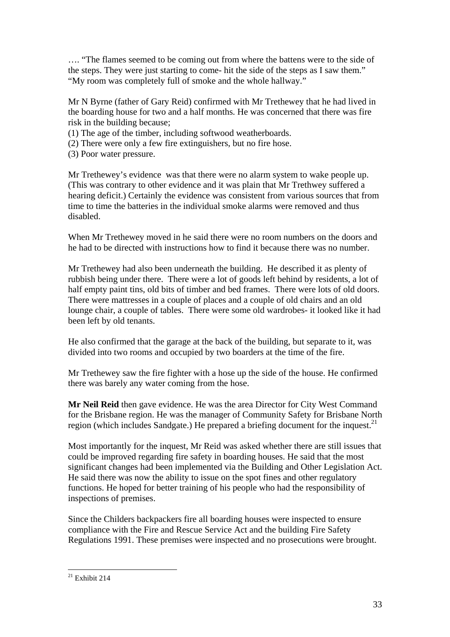…. "The flames seemed to be coming out from where the battens were to the side of the steps. They were just starting to come- hit the side of the steps as I saw them." "My room was completely full of smoke and the whole hallway."

Mr N Byrne (father of Gary Reid) confirmed with Mr Trethewey that he had lived in the boarding house for two and a half months. He was concerned that there was fire risk in the building because;

(1) The age of the timber, including softwood weatherboards.

- (2) There were only a few fire extinguishers, but no fire hose.
- (3) Poor water pressure.

Mr Trethewey's evidence was that there were no alarm system to wake people up. (This was contrary to other evidence and it was plain that Mr Trethwey suffered a hearing deficit.) Certainly the evidence was consistent from various sources that from time to time the batteries in the individual smoke alarms were removed and thus disabled.

When Mr Trethewey moved in he said there were no room numbers on the doors and he had to be directed with instructions how to find it because there was no number.

Mr Trethewey had also been underneath the building. He described it as plenty of rubbish being under there. There were a lot of goods left behind by residents, a lot of half empty paint tins, old bits of timber and bed frames. There were lots of old doors. There were mattresses in a couple of places and a couple of old chairs and an old lounge chair, a couple of tables. There were some old wardrobes- it looked like it had been left by old tenants.

He also confirmed that the garage at the back of the building, but separate to it, was divided into two rooms and occupied by two boarders at the time of the fire.

Mr Trethewey saw the fire fighter with a hose up the side of the house. He confirmed there was barely any water coming from the hose.

**Mr Neil Reid** then gave evidence. He was the area Director for City West Command for the Brisbane region. He was the manager of Community Safety for Brisbane North region (which includes Sandgate.) He prepared a briefing document for the inquest.<sup>21</sup>

Most importantly for the inquest, Mr Reid was asked whether there are still issues that could be improved regarding fire safety in boarding houses. He said that the most significant changes had been implemented via the Building and Other Legislation Act. He said there was now the ability to issue on the spot fines and other regulatory functions. He hoped for better training of his people who had the responsibility of inspections of premises.

Since the Childers backpackers fire all boarding houses were inspected to ensure compliance with the Fire and Rescue Service Act and the building Fire Safety Regulations 1991. These premises were inspected and no prosecutions were brought.

 $21$  Exhibit 214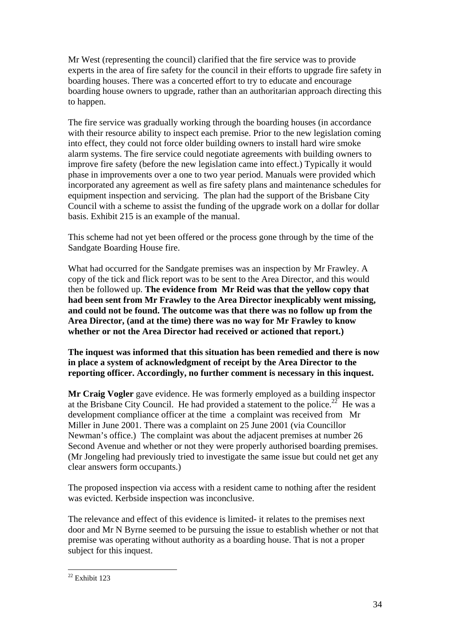Mr West (representing the council) clarified that the fire service was to provide experts in the area of fire safety for the council in their efforts to upgrade fire safety in boarding houses. There was a concerted effort to try to educate and encourage boarding house owners to upgrade, rather than an authoritarian approach directing this to happen.

The fire service was gradually working through the boarding houses (in accordance with their resource ability to inspect each premise. Prior to the new legislation coming into effect, they could not force older building owners to install hard wire smoke alarm systems. The fire service could negotiate agreements with building owners to improve fire safety (before the new legislation came into effect.) Typically it would phase in improvements over a one to two year period. Manuals were provided which incorporated any agreement as well as fire safety plans and maintenance schedules for equipment inspection and servicing. The plan had the support of the Brisbane City Council with a scheme to assist the funding of the upgrade work on a dollar for dollar basis. Exhibit 215 is an example of the manual.

This scheme had not yet been offered or the process gone through by the time of the Sandgate Boarding House fire.

What had occurred for the Sandgate premises was an inspection by Mr Frawley. A copy of the tick and flick report was to be sent to the Area Director, and this would then be followed up. **The evidence from Mr Reid was that the yellow copy that had been sent from Mr Frawley to the Area Director inexplicably went missing, and could not be found. The outcome was that there was no follow up from the Area Director, (and at the time) there was no way for Mr Frawley to know whether or not the Area Director had received or actioned that report.)** 

**The inquest was informed that this situation has been remedied and there is now in place a system of acknowledgment of receipt by the Area Director to the reporting officer. Accordingly, no further comment is necessary in this inquest.** 

**Mr Craig Vogler** gave evidence. He was formerly employed as a building inspector at the Brisbane City Council. He had provided a statement to the police.<sup>22</sup> He was a development compliance officer at the time a complaint was received from Mr Miller in June 2001. There was a complaint on 25 June 2001 (via Councillor Newman's office.) The complaint was about the adjacent premises at number 26 Second Avenue and whether or not they were properly authorised boarding premises. (Mr Jongeling had previously tried to investigate the same issue but could net get any clear answers form occupants.)

The proposed inspection via access with a resident came to nothing after the resident was evicted. Kerbside inspection was inconclusive.

The relevance and effect of this evidence is limited- it relates to the premises next door and Mr N Byrne seemed to be pursuing the issue to establish whether or not that premise was operating without authority as a boarding house. That is not a proper subject for this inquest.

 $22$  Exhibit 123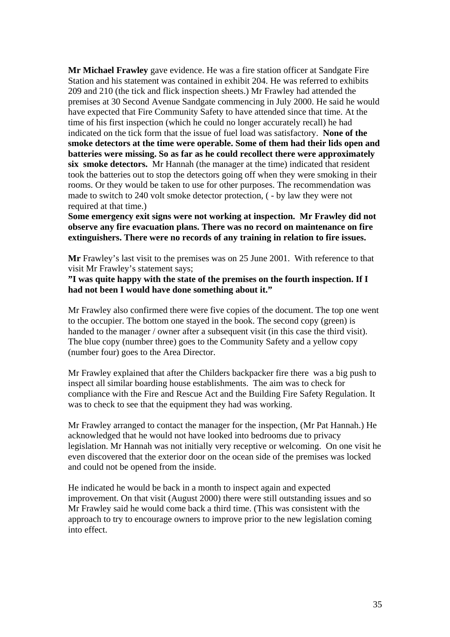**Mr Michael Frawley** gave evidence. He was a fire station officer at Sandgate Fire Station and his statement was contained in exhibit 204. He was referred to exhibits 209 and 210 (the tick and flick inspection sheets.) Mr Frawley had attended the premises at 30 Second Avenue Sandgate commencing in July 2000. He said he would have expected that Fire Community Safety to have attended since that time. At the time of his first inspection (which he could no longer accurately recall) he had indicated on the tick form that the issue of fuel load was satisfactory. **None of the smoke detectors at the time were operable. Some of them had their lids open and batteries were missing. So as far as he could recollect there were approximately six smoke detectors.** Mr Hannah (the manager at the time) indicated that resident took the batteries out to stop the detectors going off when they were smoking in their rooms. Or they would be taken to use for other purposes. The recommendation was made to switch to 240 volt smoke detector protection, ( - by law they were not required at that time.)

**Some emergency exit signs were not working at inspection. Mr Frawley did not observe any fire evacuation plans. There was no record on maintenance on fire extinguishers. There were no records of any training in relation to fire issues.** 

**Mr** Frawley's last visit to the premises was on 25 June 2001. With reference to that visit Mr Frawley's statement says;

**"I was quite happy with the state of the premises on the fourth inspection. If I had not been I would have done something about it."** 

Mr Frawley also confirmed there were five copies of the document. The top one went to the occupier. The bottom one stayed in the book. The second copy (green) is handed to the manager / owner after a subsequent visit (in this case the third visit). The blue copy (number three) goes to the Community Safety and a yellow copy (number four) goes to the Area Director.

Mr Frawley explained that after the Childers backpacker fire there was a big push to inspect all similar boarding house establishments. The aim was to check for compliance with the Fire and Rescue Act and the Building Fire Safety Regulation. It was to check to see that the equipment they had was working.

Mr Frawley arranged to contact the manager for the inspection, (Mr Pat Hannah.) He acknowledged that he would not have looked into bedrooms due to privacy legislation. Mr Hannah was not initially very receptive or welcoming. On one visit he even discovered that the exterior door on the ocean side of the premises was locked and could not be opened from the inside.

He indicated he would be back in a month to inspect again and expected improvement. On that visit (August 2000) there were still outstanding issues and so Mr Frawley said he would come back a third time. (This was consistent with the approach to try to encourage owners to improve prior to the new legislation coming into effect.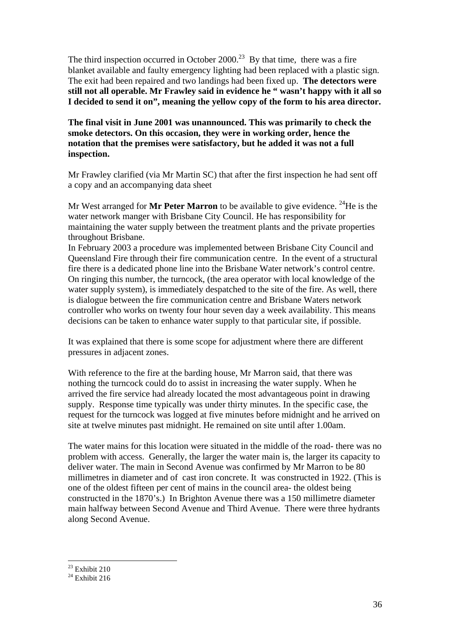The third inspection occurred in October 2000.<sup>23</sup> By that time, there was a fire blanket available and faulty emergency lighting had been replaced with a plastic sign. The exit had been repaired and two landings had been fixed up. **The detectors were still not all operable. Mr Frawley said in evidence he " wasn't happy with it all so I decided to send it on", meaning the yellow copy of the form to his area director.** 

**The final visit in June 2001 was unannounced. This was primarily to check the smoke detectors. On this occasion, they were in working order, hence the notation that the premises were satisfactory, but he added it was not a full inspection.** 

Mr Frawley clarified (via Mr Martin SC) that after the first inspection he had sent off a copy and an accompanying data sheet

Mr West arranged for **Mr Peter Marron** to be available to give evidence. <sup>24</sup>He is the water network manger with Brisbane City Council. He has responsibility for maintaining the water supply between the treatment plants and the private properties throughout Brisbane.

In February 2003 a procedure was implemented between Brisbane City Council and Queensland Fire through their fire communication centre. In the event of a structural fire there is a dedicated phone line into the Brisbane Water network's control centre. On ringing this number, the turncock, (the area operator with local knowledge of the water supply system), is immediately despatched to the site of the fire. As well, there is dialogue between the fire communication centre and Brisbane Waters network controller who works on twenty four hour seven day a week availability. This means decisions can be taken to enhance water supply to that particular site, if possible.

It was explained that there is some scope for adjustment where there are different pressures in adjacent zones.

With reference to the fire at the barding house, Mr Marron said, that there was nothing the turncock could do to assist in increasing the water supply. When he arrived the fire service had already located the most advantageous point in drawing supply. Response time typically was under thirty minutes. In the specific case, the request for the turncock was logged at five minutes before midnight and he arrived on site at twelve minutes past midnight. He remained on site until after 1.00am.

The water mains for this location were situated in the middle of the road- there was no problem with access. Generally, the larger the water main is, the larger its capacity to deliver water. The main in Second Avenue was confirmed by Mr Marron to be 80 millimetres in diameter and of cast iron concrete. It was constructed in 1922. (This is one of the oldest fifteen per cent of mains in the council area- the oldest being constructed in the 1870's.) In Brighton Avenue there was a 150 millimetre diameter main halfway between Second Avenue and Third Avenue. There were three hydrants along Second Avenue.

 $^{23}$  Exhibit 210

 $^{24}$  Exhibit 216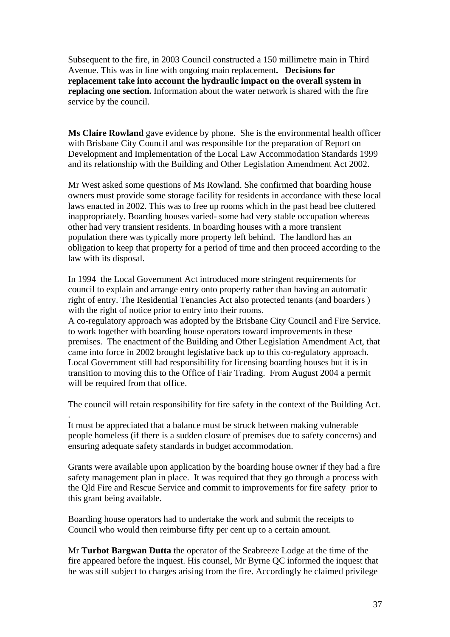Subsequent to the fire, in 2003 Council constructed a 150 millimetre main in Third Avenue. This was in line with ongoing main replacement**. Decisions for replacement take into account the hydraulic impact on the overall system in replacing one section.** Information about the water network is shared with the fire service by the council.

**Ms Claire Rowland** gave evidence by phone. She is the environmental health officer with Brisbane City Council and was responsible for the preparation of Report on Development and Implementation of the Local Law Accommodation Standards 1999 and its relationship with the Building and Other Legislation Amendment Act 2002.

Mr West asked some questions of Ms Rowland. She confirmed that boarding house owners must provide some storage facility for residents in accordance with these local laws enacted in 2002. This was to free up rooms which in the past head bee cluttered inappropriately. Boarding houses varied- some had very stable occupation whereas other had very transient residents. In boarding houses with a more transient population there was typically more property left behind. The landlord has an obligation to keep that property for a period of time and then proceed according to the law with its disposal.

In 1994 the Local Government Act introduced more stringent requirements for council to explain and arrange entry onto property rather than having an automatic right of entry. The Residential Tenancies Act also protected tenants (and boarders ) with the right of notice prior to entry into their rooms.

A co-regulatory approach was adopted by the Brisbane City Council and Fire Service. to work together with boarding house operators toward improvements in these premises. The enactment of the Building and Other Legislation Amendment Act, that came into force in 2002 brought legislative back up to this co-regulatory approach. Local Government still had responsibility for licensing boarding houses but it is in transition to moving this to the Office of Fair Trading. From August 2004 a permit will be required from that office.

The council will retain responsibility for fire safety in the context of the Building Act.

. It must be appreciated that a balance must be struck between making vulnerable people homeless (if there is a sudden closure of premises due to safety concerns) and ensuring adequate safety standards in budget accommodation.

Grants were available upon application by the boarding house owner if they had a fire safety management plan in place. It was required that they go through a process with the Qld Fire and Rescue Service and commit to improvements for fire safety prior to this grant being available.

Boarding house operators had to undertake the work and submit the receipts to Council who would then reimburse fifty per cent up to a certain amount.

Mr **Turbot Bargwan Dutta** the operator of the Seabreeze Lodge at the time of the fire appeared before the inquest. His counsel, Mr Byrne QC informed the inquest that he was still subject to charges arising from the fire. Accordingly he claimed privilege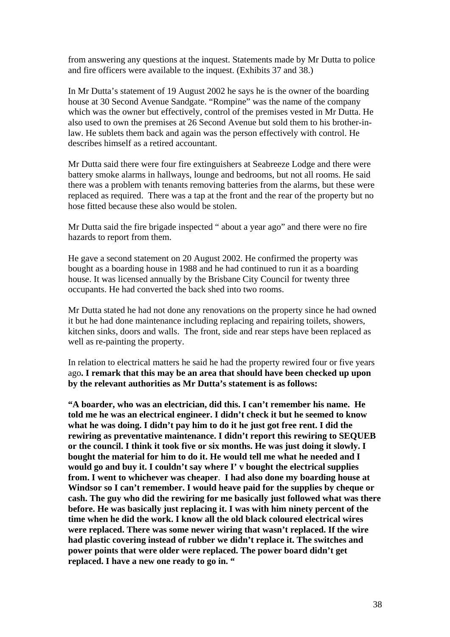from answering any questions at the inquest. Statements made by Mr Dutta to police and fire officers were available to the inquest. (Exhibits 37 and 38.)

In Mr Dutta's statement of 19 August 2002 he says he is the owner of the boarding house at 30 Second Avenue Sandgate. "Rompine" was the name of the company which was the owner but effectively, control of the premises vested in Mr Dutta. He also used to own the premises at 26 Second Avenue but sold them to his brother-inlaw. He sublets them back and again was the person effectively with control. He describes himself as a retired accountant.

Mr Dutta said there were four fire extinguishers at Seabreeze Lodge and there were battery smoke alarms in hallways, lounge and bedrooms, but not all rooms. He said there was a problem with tenants removing batteries from the alarms, but these were replaced as required. There was a tap at the front and the rear of the property but no hose fitted because these also would be stolen.

Mr Dutta said the fire brigade inspected " about a year ago" and there were no fire hazards to report from them.

He gave a second statement on 20 August 2002. He confirmed the property was bought as a boarding house in 1988 and he had continued to run it as a boarding house. It was licensed annually by the Brisbane City Council for twenty three occupants. He had converted the back shed into two rooms.

Mr Dutta stated he had not done any renovations on the property since he had owned it but he had done maintenance including replacing and repairing toilets, showers, kitchen sinks, doors and walls. The front, side and rear steps have been replaced as well as re-painting the property.

In relation to electrical matters he said he had the property rewired four or five years ago**. I remark that this may be an area that should have been checked up upon by the relevant authorities as Mr Dutta's statement is as follows:** 

**"A boarder, who was an electrician, did this. I can't remember his name. He told me he was an electrical engineer. I didn't check it but he seemed to know what he was doing. I didn't pay him to do it he just got free rent. I did the rewiring as preventative maintenance. I didn't report this rewiring to SEQUEB or the council. I think it took five or six months. He was just doing it slowly. I bought the material for him to do it. He would tell me what he needed and I would go and buy it. I couldn't say where I' v bought the electrical supplies from. I went to whichever was cheaper**. **I had also done my boarding house at Windsor so I can't remember. I would heave paid for the supplies by cheque or cash. The guy who did the rewiring for me basically just followed what was there before. He was basically just replacing it. I was with him ninety percent of the time when he did the work. I know all the old black coloured electrical wires were replaced. There was some newer wiring that wasn't replaced. If the wire had plastic covering instead of rubber we didn't replace it. The switches and power points that were older were replaced. The power board didn't get replaced. I have a new one ready to go in. "**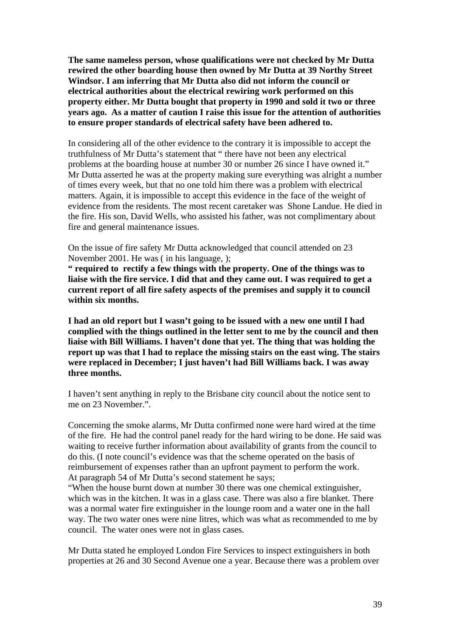**The same nameless person, whose qualifications were not checked by Mr Dutta rewired the other boarding house then owned by Mr Dutta at 39 Northy Street Windsor. I am inferring that Mr Dutta also did not inform the council or electrical authorities about the electrical rewiring work performed on this property either. Mr Dutta bought that property in 1990 and sold it two or three years ago. As a matter of caution I raise this issue for the attention of authorities to ensure proper standards of electrical safety have been adhered to.** 

In considering all of the other evidence to the contrary it is impossible to accept the truthfulness of Mr Dutta's statement that " there have not been any electrical problems at the boarding house at number 30 or number 26 since I have owned it." Mr Dutta asserted he was at the property making sure everything was alright a number of times every week, but that no one told him there was a problem with electrical matters. Again, it is impossible to accept this evidence in the face of the weight of evidence from the residents. The most recent caretaker was Shone Landue. He died in the fire. His son, David Wells, who assisted his father, was not complimentary about fire and general maintenance issues.

On the issue of fire safety Mr Dutta acknowledged that council attended on 23 November 2001. He was ( in his language, );

**" required to rectify a few things with the property. One of the things was to liaise with the fire service. I did that and they came out. I was required to get a current report of all fire safety aspects of the premises and supply it to council within six months.** 

**I had an old report but I wasn't going to be issued with a new one until I had complied with the things outlined in the letter sent to me by the council and then liaise with Bill Williams. I haven't done that yet. The thing that was holding the report up was that I had to replace the missing stairs on the east wing. The stairs were replaced in December; I just haven't had Bill Williams back. I was away three months.** 

I haven't sent anything in reply to the Brisbane city council about the notice sent to me on 23 November.".

Concerning the smoke alarms, Mr Dutta confirmed none were hard wired at the time of the fire. He had the control panel ready for the hard wiring to be done. He said was waiting to receive further information about availability of grants from the council to do this. (I note council's evidence was that the scheme operated on the basis of reimbursement of expenses rather than an upfront payment to perform the work. At paragraph 54 of Mr Dutta's second statement he says;

"When the house burnt down at number 30 there was one chemical extinguisher, which was in the kitchen. It was in a glass case. There was also a fire blanket. There was a normal water fire extinguisher in the lounge room and a water one in the hall way. The two water ones were nine litres, which was what as recommended to me by council. The water ones were not in glass cases.

Mr Dutta stated he employed London Fire Services to inspect extinguishers in both properties at 26 and 30 Second Avenue one a year. Because there was a problem over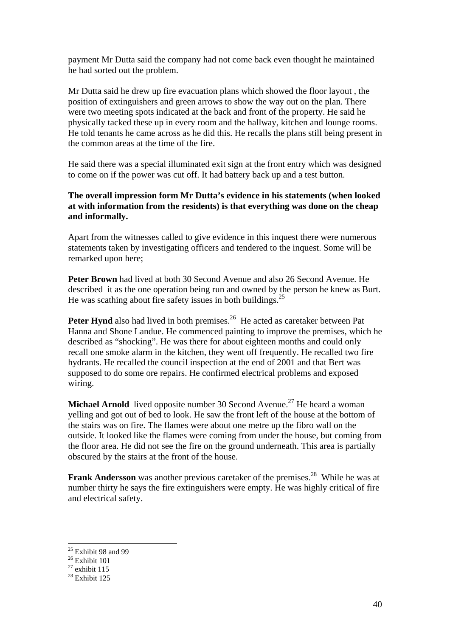payment Mr Dutta said the company had not come back even thought he maintained he had sorted out the problem.

Mr Dutta said he drew up fire evacuation plans which showed the floor layout , the position of extinguishers and green arrows to show the way out on the plan. There were two meeting spots indicated at the back and front of the property. He said he physically tacked these up in every room and the hallway, kitchen and lounge rooms. He told tenants he came across as he did this. He recalls the plans still being present in the common areas at the time of the fire.

He said there was a special illuminated exit sign at the front entry which was designed to come on if the power was cut off. It had battery back up and a test button.

#### **The overall impression form Mr Dutta's evidence in his statements (when looked at with information from the residents) is that everything was done on the cheap and informally.**

Apart from the witnesses called to give evidence in this inquest there were numerous statements taken by investigating officers and tendered to the inquest. Some will be remarked upon here;

**Peter Brown** had lived at both 30 Second Avenue and also 26 Second Avenue. He described it as the one operation being run and owned by the person he knew as Burt. He was scathing about fire safety issues in both buildings.<sup>25</sup>

**Peter Hynd** also had lived in both premises.<sup>26</sup> He acted as caretaker between Pat Hanna and Shone Landue. He commenced painting to improve the premises, which he described as "shocking". He was there for about eighteen months and could only recall one smoke alarm in the kitchen, they went off frequently. He recalled two fire hydrants. He recalled the council inspection at the end of 2001 and that Bert was supposed to do some ore repairs. He confirmed electrical problems and exposed wiring.

**Michael Arnold** lived opposite number 30 Second Avenue.<sup>27</sup> He heard a woman yelling and got out of bed to look. He saw the front left of the house at the bottom of the stairs was on fire. The flames were about one metre up the fibro wall on the outside. It looked like the flames were coming from under the house, but coming from the floor area. He did not see the fire on the ground underneath. This area is partially obscured by the stairs at the front of the house.

**Frank Andersson** was another previous caretaker of the premises.<sup>28</sup> While he was at number thirty he says the fire extinguishers were empty. He was highly critical of fire and electrical safety.

 $25$  Exhibit 98 and 99

<sup>26</sup> Exhibit 101

 $27$  exhibit 115

<sup>28</sup> Exhibit 125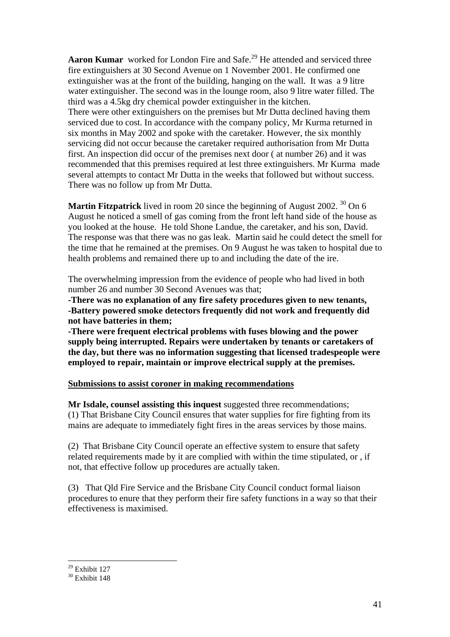Aaron Kumar<sub>worked</sub> for London Fire and Safe.<sup>29</sup> He attended and serviced three fire extinguishers at 30 Second Avenue on 1 November 2001. He confirmed one extinguisher was at the front of the building, hanging on the wall. It was a 9 litre water extinguisher. The second was in the lounge room, also 9 litre water filled. The third was a 4.5kg dry chemical powder extinguisher in the kitchen. There were other extinguishers on the premises but Mr Dutta declined having them serviced due to cost. In accordance with the company policy, Mr Kurma returned in six months in May 2002 and spoke with the caretaker. However, the six monthly servicing did not occur because the caretaker required authorisation from Mr Dutta first. An inspection did occur of the premises next door ( at number 26) and it was recommended that this premises required at lest three extinguishers. Mr Kurma made several attempts to contact Mr Dutta in the weeks that followed but without success. There was no follow up from Mr Dutta.

**Martin Fitzpatrick** lived in room 20 since the beginning of August 2002.<sup>30</sup> On 6 August he noticed a smell of gas coming from the front left hand side of the house as you looked at the house. He told Shone Landue, the caretaker, and his son, David. The response was that there was no gas leak. Martin said he could detect the smell for the time that he remained at the premises. On 9 August he was taken to hospital due to health problems and remained there up to and including the date of the ire.

The overwhelming impression from the evidence of people who had lived in both number 26 and number 30 Second Avenues was that;

**-There was no explanation of any fire safety procedures given to new tenants, -Battery powered smoke detectors frequently did not work and frequently did not have batteries in them;** 

**-There were frequent electrical problems with fuses blowing and the power supply being interrupted. Repairs were undertaken by tenants or caretakers of the day, but there was no information suggesting that licensed tradespeople were employed to repair, maintain or improve electrical supply at the premises.** 

#### **Submissions to assist coroner in making recommendations**

**Mr Isdale, counsel assisting this inquest** suggested three recommendations; (1) That Brisbane City Council ensures that water supplies for fire fighting from its mains are adequate to immediately fight fires in the areas services by those mains.

(2) That Brisbane City Council operate an effective system to ensure that safety related requirements made by it are complied with within the time stipulated, or , if not, that effective follow up procedures are actually taken.

(3) That Qld Fire Service and the Brisbane City Council conduct formal liaison procedures to enure that they perform their fire safety functions in a way so that their effectiveness is maximised.

 $\overline{a}$ <sup>29</sup> Exhibit 127

 $30$  Exhibit 148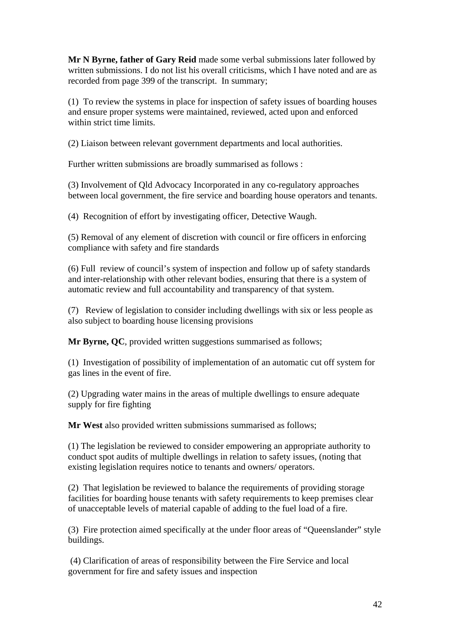**Mr N Byrne, father of Gary Reid** made some verbal submissions later followed by written submissions. I do not list his overall criticisms, which I have noted and are as recorded from page 399 of the transcript. In summary;

(1) To review the systems in place for inspection of safety issues of boarding houses and ensure proper systems were maintained, reviewed, acted upon and enforced within strict time limits.

(2) Liaison between relevant government departments and local authorities.

Further written submissions are broadly summarised as follows :

(3) Involvement of Qld Advocacy Incorporated in any co-regulatory approaches between local government, the fire service and boarding house operators and tenants.

(4) Recognition of effort by investigating officer, Detective Waugh.

(5) Removal of any element of discretion with council or fire officers in enforcing compliance with safety and fire standards

(6) Full review of council's system of inspection and follow up of safety standards and inter-relationship with other relevant bodies, ensuring that there is a system of automatic review and full accountability and transparency of that system.

(7) Review of legislation to consider including dwellings with six or less people as also subject to boarding house licensing provisions

**Mr Byrne, QC**, provided written suggestions summarised as follows;

(1) Investigation of possibility of implementation of an automatic cut off system for gas lines in the event of fire.

(2) Upgrading water mains in the areas of multiple dwellings to ensure adequate supply for fire fighting

**Mr West** also provided written submissions summarised as follows;

(1) The legislation be reviewed to consider empowering an appropriate authority to conduct spot audits of multiple dwellings in relation to safety issues, (noting that existing legislation requires notice to tenants and owners/ operators.

(2) That legislation be reviewed to balance the requirements of providing storage facilities for boarding house tenants with safety requirements to keep premises clear of unacceptable levels of material capable of adding to the fuel load of a fire.

(3) Fire protection aimed specifically at the under floor areas of "Queenslander" style buildings.

 (4) Clarification of areas of responsibility between the Fire Service and local government for fire and safety issues and inspection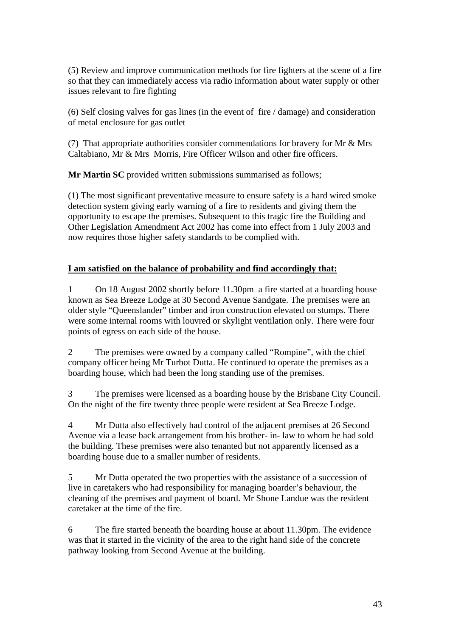(5) Review and improve communication methods for fire fighters at the scene of a fire so that they can immediately access via radio information about water supply or other issues relevant to fire fighting

(6) Self closing valves for gas lines (in the event of fire / damage) and consideration of metal enclosure for gas outlet

(7) That appropriate authorities consider commendations for bravery for Mr & Mrs Caltabiano, Mr & Mrs Morris, Fire Officer Wilson and other fire officers.

**Mr Martin SC** provided written submissions summarised as follows;

(1) The most significant preventative measure to ensure safety is a hard wired smoke detection system giving early warning of a fire to residents and giving them the opportunity to escape the premises. Subsequent to this tragic fire the Building and Other Legislation Amendment Act 2002 has come into effect from 1 July 2003 and now requires those higher safety standards to be complied with.

## **I am satisfied on the balance of probability and find accordingly that:**

1 On 18 August 2002 shortly before 11.30pm a fire started at a boarding house known as Sea Breeze Lodge at 30 Second Avenue Sandgate. The premises were an older style "Queenslander" timber and iron construction elevated on stumps. There were some internal rooms with louvred or skylight ventilation only. There were four points of egress on each side of the house.

2 The premises were owned by a company called "Rompine", with the chief company officer being Mr Turbot Dutta. He continued to operate the premises as a boarding house, which had been the long standing use of the premises.

3 The premises were licensed as a boarding house by the Brisbane City Council. On the night of the fire twenty three people were resident at Sea Breeze Lodge.

4 Mr Dutta also effectively had control of the adjacent premises at 26 Second Avenue via a lease back arrangement from his brother- in- law to whom he had sold the building. These premises were also tenanted but not apparently licensed as a boarding house due to a smaller number of residents.

5 Mr Dutta operated the two properties with the assistance of a succession of live in caretakers who had responsibility for managing boarder's behaviour, the cleaning of the premises and payment of board. Mr Shone Landue was the resident caretaker at the time of the fire.

6 The fire started beneath the boarding house at about 11.30pm. The evidence was that it started in the vicinity of the area to the right hand side of the concrete pathway looking from Second Avenue at the building.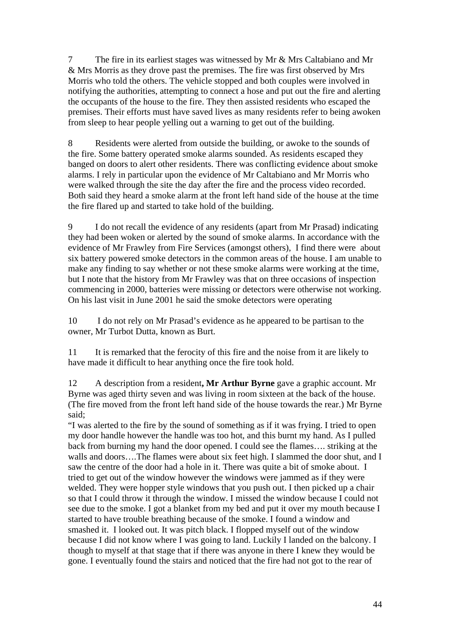7 The fire in its earliest stages was witnessed by Mr & Mrs Caltabiano and Mr & Mrs Morris as they drove past the premises. The fire was first observed by Mrs Morris who told the others. The vehicle stopped and both couples were involved in notifying the authorities, attempting to connect a hose and put out the fire and alerting the occupants of the house to the fire. They then assisted residents who escaped the premises. Their efforts must have saved lives as many residents refer to being awoken from sleep to hear people yelling out a warning to get out of the building.

8 Residents were alerted from outside the building, or awoke to the sounds of the fire. Some battery operated smoke alarms sounded. As residents escaped they banged on doors to alert other residents. There was conflicting evidence about smoke alarms. I rely in particular upon the evidence of Mr Caltabiano and Mr Morris who were walked through the site the day after the fire and the process video recorded. Both said they heard a smoke alarm at the front left hand side of the house at the time the fire flared up and started to take hold of the building.

9 I do not recall the evidence of any residents (apart from Mr Prasad) indicating they had been woken or alerted by the sound of smoke alarms. In accordance with the evidence of Mr Frawley from Fire Services (amongst others), I find there were about six battery powered smoke detectors in the common areas of the house. I am unable to make any finding to say whether or not these smoke alarms were working at the time, but I note that the history from Mr Frawley was that on three occasions of inspection commencing in 2000, batteries were missing or detectors were otherwise not working. On his last visit in June 2001 he said the smoke detectors were operating

10 I do not rely on Mr Prasad's evidence as he appeared to be partisan to the owner, Mr Turbot Dutta, known as Burt.

11 It is remarked that the ferocity of this fire and the noise from it are likely to have made it difficult to hear anything once the fire took hold.

12 A description from a resident**, Mr Arthur Byrne** gave a graphic account. Mr Byrne was aged thirty seven and was living in room sixteen at the back of the house. (The fire moved from the front left hand side of the house towards the rear.) Mr Byrne said;

"I was alerted to the fire by the sound of something as if it was frying. I tried to open my door handle however the handle was too hot, and this burnt my hand. As I pulled back from burning my hand the door opened. I could see the flames…. striking at the walls and doors….The flames were about six feet high. I slammed the door shut, and I saw the centre of the door had a hole in it. There was quite a bit of smoke about. I tried to get out of the window however the windows were jammed as if they were welded. They were hopper style windows that you push out. I then picked up a chair so that I could throw it through the window. I missed the window because I could not see due to the smoke. I got a blanket from my bed and put it over my mouth because I started to have trouble breathing because of the smoke. I found a window and smashed it. I looked out. It was pitch black. I flopped myself out of the window because I did not know where I was going to land. Luckily I landed on the balcony. I though to myself at that stage that if there was anyone in there I knew they would be gone. I eventually found the stairs and noticed that the fire had not got to the rear of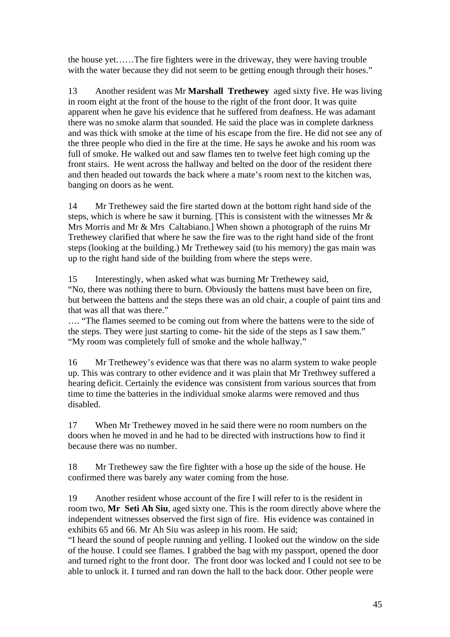the house yet……The fire fighters were in the driveway, they were having trouble with the water because they did not seem to be getting enough through their hoses."

13 Another resident was Mr **Marshall Trethewey** aged sixty five. He was living in room eight at the front of the house to the right of the front door. It was quite apparent when he gave his evidence that he suffered from deafness. He was adamant there was no smoke alarm that sounded. He said the place was in complete darkness and was thick with smoke at the time of his escape from the fire. He did not see any of the three people who died in the fire at the time. He says he awoke and his room was full of smoke. He walked out and saw flames ten to twelve feet high coming up the front stairs. He went across the hallway and belted on the door of the resident there and then headed out towards the back where a mate's room next to the kitchen was, banging on doors as he went.

14 Mr Trethewey said the fire started down at the bottom right hand side of the steps, which is where he saw it burning. [This is consistent with the witnesses Mr & Mrs Morris and Mr & Mrs Caltabiano.] When shown a photograph of the ruins Mr Trethewey clarified that where he saw the fire was to the right hand side of the front steps (looking at the building.) Mr Trethewey said (to his memory) the gas main was up to the right hand side of the building from where the steps were.

15 Interestingly, when asked what was burning Mr Trethewey said, "No, there was nothing there to burn. Obviously the battens must have been on fire, but between the battens and the steps there was an old chair, a couple of paint tins and that was all that was there."

…. "The flames seemed to be coming out from where the battens were to the side of the steps. They were just starting to come- hit the side of the steps as I saw them." "My room was completely full of smoke and the whole hallway."

16 Mr Trethewey's evidence was that there was no alarm system to wake people up. This was contrary to other evidence and it was plain that Mr Trethwey suffered a hearing deficit. Certainly the evidence was consistent from various sources that from time to time the batteries in the individual smoke alarms were removed and thus disabled.

17 When Mr Trethewey moved in he said there were no room numbers on the doors when he moved in and he had to be directed with instructions how to find it because there was no number.

18 Mr Trethewey saw the fire fighter with a hose up the side of the house. He confirmed there was barely any water coming from the hose.

19 Another resident whose account of the fire I will refer to is the resident in room two, **Mr Seti Ah Siu**, aged sixty one. This is the room directly above where the independent witnesses observed the first sign of fire. His evidence was contained in exhibits 65 and 66. Mr Ah Siu was asleep in his room. He said;

"I heard the sound of people running and yelling. I looked out the window on the side of the house. I could see flames. I grabbed the bag with my passport, opened the door and turned right to the front door. The front door was locked and I could not see to be able to unlock it. I turned and ran down the hall to the back door. Other people were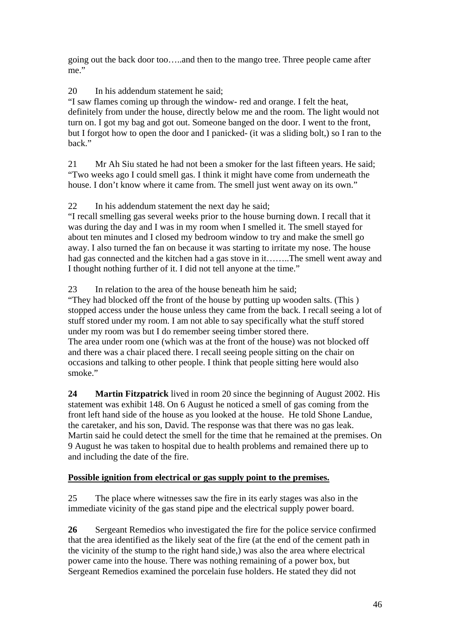going out the back door too…..and then to the mango tree. Three people came after me."

20 In his addendum statement he said:

"I saw flames coming up through the window- red and orange. I felt the heat, definitely from under the house, directly below me and the room. The light would not turn on. I got my bag and got out. Someone banged on the door. I went to the front, but I forgot how to open the door and I panicked- (it was a sliding bolt,) so I ran to the back."

21 Mr Ah Siu stated he had not been a smoker for the last fifteen years. He said; "Two weeks ago I could smell gas. I think it might have come from underneath the house. I don't know where it came from. The smell just went away on its own."

22 In his addendum statement the next day he said;

"I recall smelling gas several weeks prior to the house burning down. I recall that it was during the day and I was in my room when I smelled it. The smell stayed for about ten minutes and I closed my bedroom window to try and make the smell go away. I also turned the fan on because it was starting to irritate my nose. The house had gas connected and the kitchen had a gas stove in it……..The smell went away and I thought nothing further of it. I did not tell anyone at the time."

23 In relation to the area of the house beneath him he said;

"They had blocked off the front of the house by putting up wooden salts. (This ) stopped access under the house unless they came from the back. I recall seeing a lot of stuff stored under my room. I am not able to say specifically what the stuff stored under my room was but I do remember seeing timber stored there. The area under room one (which was at the front of the house) was not blocked off and there was a chair placed there. I recall seeing people sitting on the chair on occasions and talking to other people. I think that people sitting here would also smoke."

**24 Martin Fitzpatrick** lived in room 20 since the beginning of August 2002. His statement was exhibit 148. On 6 August he noticed a smell of gas coming from the front left hand side of the house as you looked at the house. He told Shone Landue, the caretaker, and his son, David. The response was that there was no gas leak. Martin said he could detect the smell for the time that he remained at the premises. On 9 August he was taken to hospital due to health problems and remained there up to and including the date of the fire.

# **Possible ignition from electrical or gas supply point to the premises.**

25 The place where witnesses saw the fire in its early stages was also in the immediate vicinity of the gas stand pipe and the electrical supply power board.

**26** Sergeant Remedios who investigated the fire for the police service confirmed that the area identified as the likely seat of the fire (at the end of the cement path in the vicinity of the stump to the right hand side,) was also the area where electrical power came into the house. There was nothing remaining of a power box, but Sergeant Remedios examined the porcelain fuse holders. He stated they did not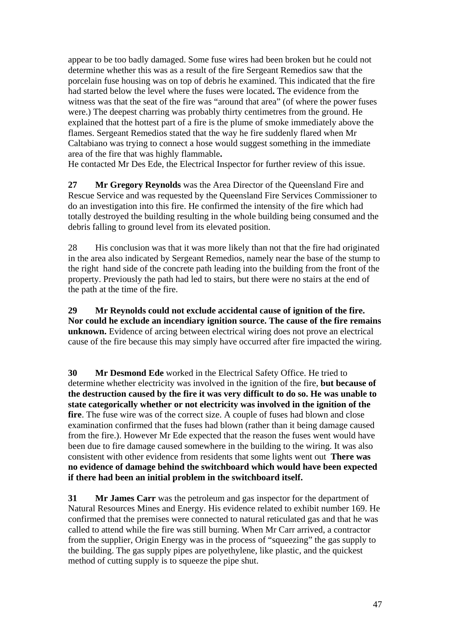appear to be too badly damaged. Some fuse wires had been broken but he could not determine whether this was as a result of the fire Sergeant Remedios saw that the porcelain fuse housing was on top of debris he examined. This indicated that the fire had started below the level where the fuses were located**.** The evidence from the witness was that the seat of the fire was "around that area" (of where the power fuses were.) The deepest charring was probably thirty centimetres from the ground. He explained that the hottest part of a fire is the plume of smoke immediately above the flames. Sergeant Remedios stated that the way he fire suddenly flared when Mr Caltabiano was trying to connect a hose would suggest something in the immediate area of the fire that was highly flammable**.** 

He contacted Mr Des Ede, the Electrical Inspector for further review of this issue.

**27 Mr Gregory Reynolds** was the Area Director of the Queensland Fire and Rescue Service and was requested by the Queensland Fire Services Commissioner to do an investigation into this fire. He confirmed the intensity of the fire which had totally destroyed the building resulting in the whole building being consumed and the debris falling to ground level from its elevated position.

28 His conclusion was that it was more likely than not that the fire had originated in the area also indicated by Sergeant Remedios, namely near the base of the stump to the right hand side of the concrete path leading into the building from the front of the property. Previously the path had led to stairs, but there were no stairs at the end of the path at the time of the fire.

**29 Mr Reynolds could not exclude accidental cause of ignition of the fire. Nor could he exclude an incendiary ignition source. The cause of the fire remains unknown.** Evidence of arcing between electrical wiring does not prove an electrical cause of the fire because this may simply have occurred after fire impacted the wiring.

**30 Mr Desmond Ede** worked in the Electrical Safety Office. He tried to determine whether electricity was involved in the ignition of the fire, **but because of the destruction caused by the fire it was very difficult to do so. He was unable to state categorically whether or not electricity was involved in the ignition of the fire**. The fuse wire was of the correct size. A couple of fuses had blown and close examination confirmed that the fuses had blown (rather than it being damage caused from the fire.). However Mr Ede expected that the reason the fuses went would have been due to fire damage caused somewhere in the building to the wiring. It was also consistent with other evidence from residents that some lights went out **There was no evidence of damage behind the switchboard which would have been expected if there had been an initial problem in the switchboard itself.** 

**31 Mr James Carr** was the petroleum and gas inspector for the department of Natural Resources Mines and Energy. His evidence related to exhibit number 169. He confirmed that the premises were connected to natural reticulated gas and that he was called to attend while the fire was still burning. When Mr Carr arrived, a contractor from the supplier, Origin Energy was in the process of "squeezing" the gas supply to the building. The gas supply pipes are polyethylene, like plastic, and the quickest method of cutting supply is to squeeze the pipe shut.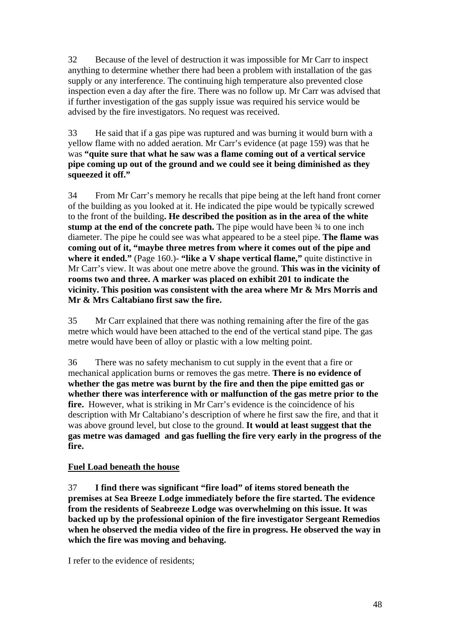32 Because of the level of destruction it was impossible for Mr Carr to inspect anything to determine whether there had been a problem with installation of the gas supply or any interference. The continuing high temperature also prevented close inspection even a day after the fire. There was no follow up. Mr Carr was advised that if further investigation of the gas supply issue was required his service would be advised by the fire investigators. No request was received.

33 He said that if a gas pipe was ruptured and was burning it would burn with a yellow flame with no added aeration. Mr Carr's evidence (at page 159) was that he was **"quite sure that what he saw was a flame coming out of a vertical service pipe coming up out of the ground and we could see it being diminished as they squeezed it off."**

34 From Mr Carr's memory he recalls that pipe being at the left hand front corner of the building as you looked at it. He indicated the pipe would be typically screwed to the front of the building**. He described the position as in the area of the white stump at the end of the concrete path.** The pipe would have been  $\frac{3}{4}$  to one inch diameter. The pipe he could see was what appeared to be a steel pipe. **The flame was coming out of it, "maybe three metres from where it comes out of the pipe and where it ended."** (Page 160.)- **"like a V shape vertical flame,"** quite distinctive in Mr Carr's view. It was about one metre above the ground. **This was in the vicinity of rooms two and three. A marker was placed on exhibit 201 to indicate the vicinity. This position was consistent with the area where Mr & Mrs Morris and Mr & Mrs Caltabiano first saw the fire.** 

35 Mr Carr explained that there was nothing remaining after the fire of the gas metre which would have been attached to the end of the vertical stand pipe. The gas metre would have been of alloy or plastic with a low melting point.

36 There was no safety mechanism to cut supply in the event that a fire or mechanical application burns or removes the gas metre. **There is no evidence of whether the gas metre was burnt by the fire and then the pipe emitted gas or whether there was interference with or malfunction of the gas metre prior to the fire.** However, what is striking in Mr Carr's evidence is the coincidence of his description with Mr Caltabiano's description of where he first saw the fire, and that it was above ground level, but close to the ground. **It would at least suggest that the gas metre was damaged and gas fuelling the fire very early in the progress of the fire.** 

### **Fuel Load beneath the house**

37 **I find there was significant "fire load" of items stored beneath the premises at Sea Breeze Lodge immediately before the fire started. The evidence from the residents of Seabreeze Lodge was overwhelming on this issue. It was backed up by the professional opinion of the fire investigator Sergeant Remedios when he observed the media video of the fire in progress. He observed the way in which the fire was moving and behaving.** 

I refer to the evidence of residents;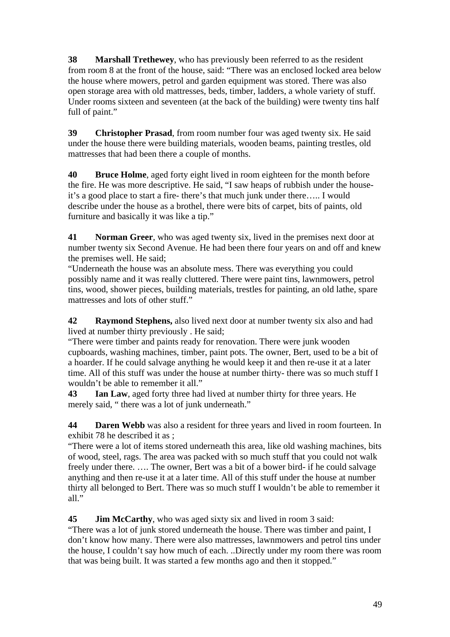**38 Marshall Trethewey**, who has previously been referred to as the resident from room 8 at the front of the house, said: "There was an enclosed locked area below the house where mowers, petrol and garden equipment was stored. There was also open storage area with old mattresses, beds, timber, ladders, a whole variety of stuff. Under rooms sixteen and seventeen (at the back of the building) were twenty tins half full of paint."

**39 Christopher Prasad**, from room number four was aged twenty six. He said under the house there were building materials, wooden beams, painting trestles, old mattresses that had been there a couple of months.

**40 Bruce Holme**, aged forty eight lived in room eighteen for the month before the fire. He was more descriptive. He said, "I saw heaps of rubbish under the houseit's a good place to start a fire- there's that much junk under there….. I would describe under the house as a brothel, there were bits of carpet, bits of paints, old furniture and basically it was like a tip."

**41 Norman Greer**, who was aged twenty six, lived in the premises next door at number twenty six Second Avenue. He had been there four years on and off and knew the premises well. He said;

"Underneath the house was an absolute mess. There was everything you could possibly name and it was really cluttered. There were paint tins, lawnmowers, petrol tins, wood, shower pieces, building materials, trestles for painting, an old lathe, spare mattresses and lots of other stuff."

**42 Raymond Stephens,** also lived next door at number twenty six also and had lived at number thirty previously . He said;

"There were timber and paints ready for renovation. There were junk wooden cupboards, washing machines, timber, paint pots. The owner, Bert, used to be a bit of a hoarder. If he could salvage anything he would keep it and then re-use it at a later time. All of this stuff was under the house at number thirty- there was so much stuff I wouldn't be able to remember it all."

**43 Ian Law**, aged forty three had lived at number thirty for three years. He merely said, " there was a lot of junk underneath."

**44** Daren Webb was also a resident for three years and lived in room fourteen. In exhibit 78 he described it as ;

"There were a lot of items stored underneath this area, like old washing machines, bits of wood, steel, rags. The area was packed with so much stuff that you could not walk freely under there. …. The owner, Bert was a bit of a bower bird- if he could salvage anything and then re-use it at a later time. All of this stuff under the house at number thirty all belonged to Bert. There was so much stuff I wouldn't be able to remember it all."

**45 Jim McCarthy**, who was aged sixty six and lived in room 3 said:

"There was a lot of junk stored underneath the house. There was timber and paint, I don't know how many. There were also mattresses, lawnmowers and petrol tins under the house, I couldn't say how much of each. ..Directly under my room there was room that was being built. It was started a few months ago and then it stopped."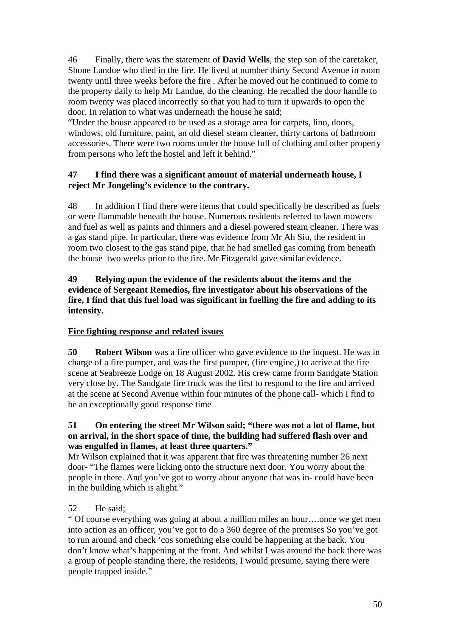46 Finally, there was the statement of **David Wells**, the step son of the caretaker, Shone Landue who died in the fire. He lived at number thirty Second Avenue in room twenty until three weeks before the fire . After he moved out he continued to come to the property daily to help Mr Landue, do the cleaning. He recalled the door handle to room twenty was placed incorrectly so that you had to turn it upwards to open the door. In relation to what was underneath the house he said;

"Under the house appeared to be used as a storage area for carpets, lino, doors, windows, old furniture, paint, an old diesel steam cleaner, thirty cartons of bathroom accessories. There were two rooms under the house full of clothing and other property from persons who left the hostel and left it behind."

## **47 I find there was a significant amount of material underneath house, I reject Mr Jongeling's evidence to the contrary.**

48 In addition I find there were items that could specifically be described as fuels or were flammable beneath the house. Numerous residents referred to lawn mowers and fuel as well as paints and thinners and a diesel powered steam cleaner. There was a gas stand pipe. In particular, there was evidence from Mr Ah Siu, the resident in room two closest to the gas stand pipe, that he had smelled gas coming from beneath the house two weeks prior to the fire. Mr Fitzgerald gave similar evidence.

**49 Relying upon the evidence of the residents about the items and the evidence of Sergeant Remedios, fire investigator about his observations of the fire, I find that this fuel load was significant in fuelling the fire and adding to its intensity.** 

# **Fire fighting response and related issues**

**50 Robert Wilson** was a fire officer who gave evidence to the inquest. He was in charge of a fire pumper, and was the first pumper, (fire engine,) to arrive at the fire scene at Seabreeze Lodge on 18 August 2002. His crew came frorm Sandgate Station very close by. The Sandgate fire truck was the first to respond to the fire and arrived at the scene at Second Avenue within four minutes of the phone call- which I find to be an exceptionally good response time

## **51 On entering the street Mr Wilson said; "there was not a lot of flame, but on arrival, in the short space of time, the building had suffered flash over and was engulfed in flames, at least three quarters."**

Mr Wilson explained that it was apparent that fire was threatening number 26 next door- "The flames were licking onto the structure next door. You worry about the people in there. And you've got to worry about anyone that was in- could have been in the building which is alight."

# 52 He said;

" Of course everything was going at about a million miles an hour….once we get men into action as an officer, you've got to do a 360 degree of the premises So you've got to run around and check 'cos something else could be happening at the back. You don't know what's happening at the front. And whilst I was around the back there was a group of people standing there, the residents, I would presume, saying there were people trapped inside."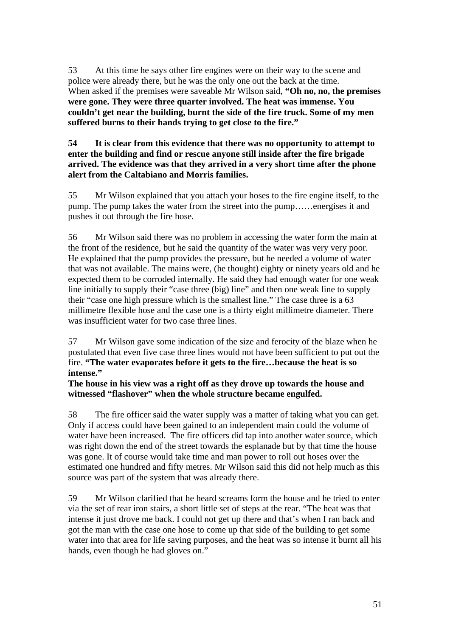53 At this time he says other fire engines were on their way to the scene and police were already there, but he was the only one out the back at the time. When asked if the premises were saveable Mr Wilson said, **"Oh no, no, the premises were gone. They were three quarter involved. The heat was immense. You couldn't get near the building, burnt the side of the fire truck. Some of my men suffered burns to their hands trying to get close to the fire."** 

**54 It is clear from this evidence that there was no opportunity to attempt to enter the building and find or rescue anyone still inside after the fire brigade arrived. The evidence was that they arrived in a very short time after the phone alert from the Caltabiano and Morris families.** 

55 Mr Wilson explained that you attach your hoses to the fire engine itself, to the pump. The pump takes the water from the street into the pump……energises it and pushes it out through the fire hose.

56 Mr Wilson said there was no problem in accessing the water form the main at the front of the residence, but he said the quantity of the water was very very poor. He explained that the pump provides the pressure, but he needed a volume of water that was not available. The mains were, (he thought) eighty or ninety years old and he expected them to be corroded internally. He said they had enough water for one weak line initially to supply their "case three (big) line" and then one weak line to supply their "case one high pressure which is the smallest line." The case three is a 63 millimetre flexible hose and the case one is a thirty eight millimetre diameter. There was insufficient water for two case three lines.

57 Mr Wilson gave some indication of the size and ferocity of the blaze when he postulated that even five case three lines would not have been sufficient to put out the fire. **"The water evaporates before it gets to the fire…because the heat is so intense."** 

**The house in his view was a right off as they drove up towards the house and witnessed "flashover" when the whole structure became engulfed.** 

58 The fire officer said the water supply was a matter of taking what you can get. Only if access could have been gained to an independent main could the volume of water have been increased. The fire officers did tap into another water source, which was right down the end of the street towards the esplanade but by that time the house was gone. It of course would take time and man power to roll out hoses over the estimated one hundred and fifty metres. Mr Wilson said this did not help much as this source was part of the system that was already there.

59 Mr Wilson clarified that he heard screams form the house and he tried to enter via the set of rear iron stairs, a short little set of steps at the rear. "The heat was that intense it just drove me back. I could not get up there and that's when I ran back and got the man with the case one hose to come up that side of the building to get some water into that area for life saving purposes, and the heat was so intense it burnt all his hands, even though he had gloves on."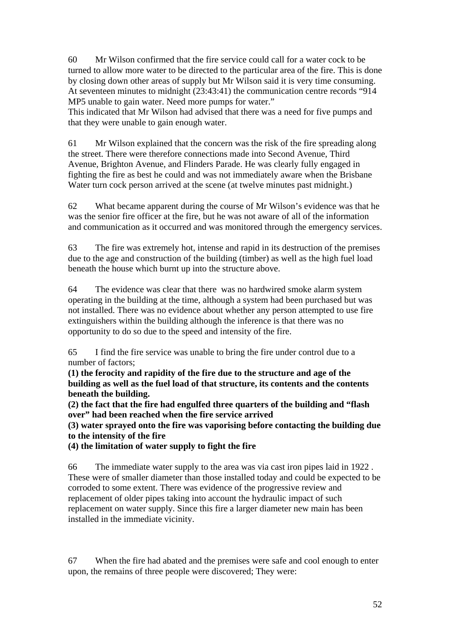60 Mr Wilson confirmed that the fire service could call for a water cock to be turned to allow more water to be directed to the particular area of the fire. This is done by closing down other areas of supply but Mr Wilson said it is very time consuming. At seventeen minutes to midnight (23:43:41) the communication centre records "914 MP5 unable to gain water. Need more pumps for water."

This indicated that Mr Wilson had advised that there was a need for five pumps and that they were unable to gain enough water.

61 Mr Wilson explained that the concern was the risk of the fire spreading along the street. There were therefore connections made into Second Avenue, Third Avenue, Brighton Avenue, and Flinders Parade. He was clearly fully engaged in fighting the fire as best he could and was not immediately aware when the Brisbane Water turn cock person arrived at the scene (at twelve minutes past midnight.)

62 What became apparent during the course of Mr Wilson's evidence was that he was the senior fire officer at the fire, but he was not aware of all of the information and communication as it occurred and was monitored through the emergency services.

63 The fire was extremely hot, intense and rapid in its destruction of the premises due to the age and construction of the building (timber) as well as the high fuel load beneath the house which burnt up into the structure above.

64 The evidence was clear that there was no hardwired smoke alarm system operating in the building at the time, although a system had been purchased but was not installed. There was no evidence about whether any person attempted to use fire extinguishers within the building although the inference is that there was no opportunity to do so due to the speed and intensity of the fire.

65 I find the fire service was unable to bring the fire under control due to a number of factors;

**(1) the ferocity and rapidity of the fire due to the structure and age of the building as well as the fuel load of that structure, its contents and the contents beneath the building.** 

**(2) the fact that the fire had engulfed three quarters of the building and "flash over" had been reached when the fire service arrived** 

**(3) water sprayed onto the fire was vaporising before contacting the building due to the intensity of the fire** 

**(4) the limitation of water supply to fight the fire** 

66 The immediate water supply to the area was via cast iron pipes laid in 1922 . These were of smaller diameter than those installed today and could be expected to be corroded to some extent. There was evidence of the progressive review and replacement of older pipes taking into account the hydraulic impact of such replacement on water supply. Since this fire a larger diameter new main has been installed in the immediate vicinity.

67 When the fire had abated and the premises were safe and cool enough to enter upon, the remains of three people were discovered; They were: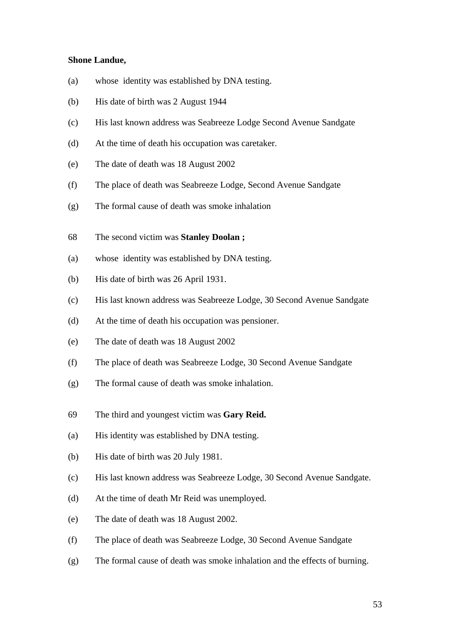#### **Shone Landue,**

- (a) whose identity was established by DNA testing.
- (b) His date of birth was 2 August 1944
- (c) His last known address was Seabreeze Lodge Second Avenue Sandgate
- (d) At the time of death his occupation was caretaker.
- (e) The date of death was 18 August 2002
- (f) The place of death was Seabreeze Lodge, Second Avenue Sandgate
- (g) The formal cause of death was smoke inhalation
- 68 The second victim was **Stanley Doolan ;**
- (a) whose identity was established by DNA testing.
- (b) His date of birth was 26 April 1931.
- (c) His last known address was Seabreeze Lodge, 30 Second Avenue Sandgate
- (d) At the time of death his occupation was pensioner.
- (e) The date of death was 18 August 2002
- (f) The place of death was Seabreeze Lodge, 30 Second Avenue Sandgate
- (g) The formal cause of death was smoke inhalation.
- 69 The third and youngest victim was **Gary Reid.**
- (a) His identity was established by DNA testing.
- (b) His date of birth was 20 July 1981.
- (c) His last known address was Seabreeze Lodge, 30 Second Avenue Sandgate.
- (d) At the time of death Mr Reid was unemployed.
- (e) The date of death was 18 August 2002.
- (f) The place of death was Seabreeze Lodge, 30 Second Avenue Sandgate
- (g) The formal cause of death was smoke inhalation and the effects of burning.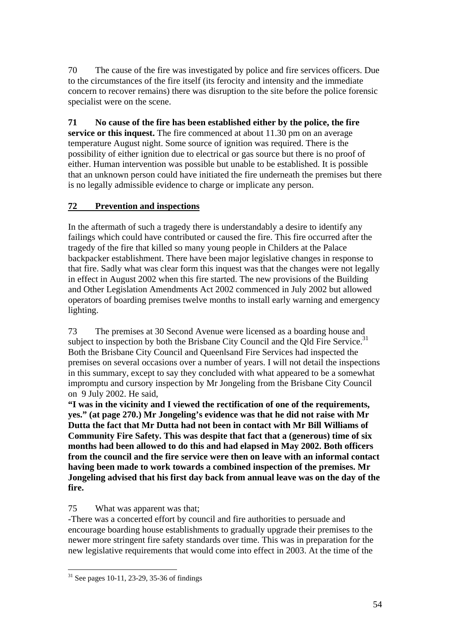70 The cause of the fire was investigated by police and fire services officers. Due to the circumstances of the fire itself (its ferocity and intensity and the immediate concern to recover remains) there was disruption to the site before the police forensic specialist were on the scene.

**71 No cause of the fire has been established either by the police, the fire service or this inquest.** The fire commenced at about 11.30 pm on an average temperature August night. Some source of ignition was required. There is the possibility of either ignition due to electrical or gas source but there is no proof of either. Human intervention was possible but unable to be established. It is possible that an unknown person could have initiated the fire underneath the premises but there is no legally admissible evidence to charge or implicate any person.

## **72 Prevention and inspections**

In the aftermath of such a tragedy there is understandably a desire to identify any failings which could have contributed or caused the fire. This fire occurred after the tragedy of the fire that killed so many young people in Childers at the Palace backpacker establishment. There have been major legislative changes in response to that fire. Sadly what was clear form this inquest was that the changes were not legally in effect in August 2002 when this fire started. The new provisions of the Building and Other Legislation Amendments Act 2002 commenced in July 2002 but allowed operators of boarding premises twelve months to install early warning and emergency lighting.

73 The premises at 30 Second Avenue were licensed as a boarding house and subject to inspection by both the Brisbane City Council and the Old Fire Service.<sup>31</sup> Both the Brisbane City Council and Queenlsand Fire Services had inspected the premises on several occasions over a number of years. I will not detail the inspections in this summary, except to say they concluded with what appeared to be a somewhat impromptu and cursory inspection by Mr Jongeling from the Brisbane City Council on 9 July 2002. He said,

**"I was in the vicinity and I viewed the rectification of one of the requirements, yes." (at page 270.) Mr Jongeling's evidence was that he did not raise with Mr Dutta the fact that Mr Dutta had not been in contact with Mr Bill Williams of Community Fire Safety. This was despite that fact that a (generous) time of six months had been allowed to do this and had elapsed in May 2002. Both officers from the council and the fire service were then on leave with an informal contact having been made to work towards a combined inspection of the premises. Mr Jongeling advised that his first day back from annual leave was on the day of the fire.** 

### 75 What was apparent was that;

-There was a concerted effort by council and fire authorities to persuade and encourage boarding house establishments to gradually upgrade their premises to the newer more stringent fire safety standards over time. This was in preparation for the new legislative requirements that would come into effect in 2003. At the time of the

 $31$  See pages 10-11, 23-29, 35-36 of findings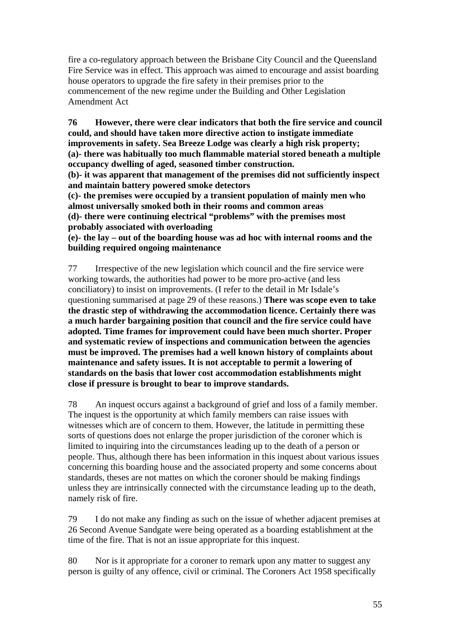fire a co-regulatory approach between the Brisbane City Council and the Queensland Fire Service was in effect. This approach was aimed to encourage and assist boarding house operators to upgrade the fire safety in their premises prior to the commencement of the new regime under the Building and Other Legislation Amendment Act

**76 However, there were clear indicators that both the fire service and council could, and should have taken more directive action to instigate immediate improvements in safety. Sea Breeze Lodge was clearly a high risk property; (a)- there was habitually too much flammable material stored beneath a multiple occupancy dwelling of aged, seasoned timber construction.** 

**(b)- it was apparent that management of the premises did not sufficiently inspect and maintain battery powered smoke detectors** 

**(c)- the premises were occupied by a transient population of mainly men who almost universally smoked both in their rooms and common areas (d)- there were continuing electrical "problems" with the premises most** 

**probably associated with overloading** 

**(e)- the lay – out of the boarding house was ad hoc with internal rooms and the building required ongoing maintenance** 

77 Irrespective of the new legislation which council and the fire service were working towards, the authorities had power to be more pro-active (and less conciliatory) to insist on improvements. (I refer to the detail in Mr Isdale's questioning summarised at page 29 of these reasons.) **There was scope even to take the drastic step of withdrawing the accommodation licence. Certainly there was a much harder bargaining position that council and the fire service could have adopted. Time frames for improvement could have been much shorter. Proper and systematic review of inspections and communication between the agencies must be improved. The premises had a well known history of complaints about maintenance and safety issues. It is not acceptable to permit a lowering of standards on the basis that lower cost accommodation establishments might close if pressure is brought to bear to improve standards.** 

78 An inquest occurs against a background of grief and loss of a family member. The inquest is the opportunity at which family members can raise issues with witnesses which are of concern to them. However, the latitude in permitting these sorts of questions does not enlarge the proper jurisdiction of the coroner which is limited to inquiring into the circumstances leading up to the death of a person or people. Thus, although there has been information in this inquest about various issues concerning this boarding house and the associated property and some concerns about standards, theses are not mattes on which the coroner should be making findings unless they are intrinsically connected with the circumstance leading up to the death, namely risk of fire.

79 I do not make any finding as such on the issue of whether adjacent premises at 26 Second Avenue Sandgate were being operated as a boarding establishment at the time of the fire. That is not an issue appropriate for this inquest.

80 Nor is it appropriate for a coroner to remark upon any matter to suggest any person is guilty of any offence, civil or criminal. The Coroners Act 1958 specifically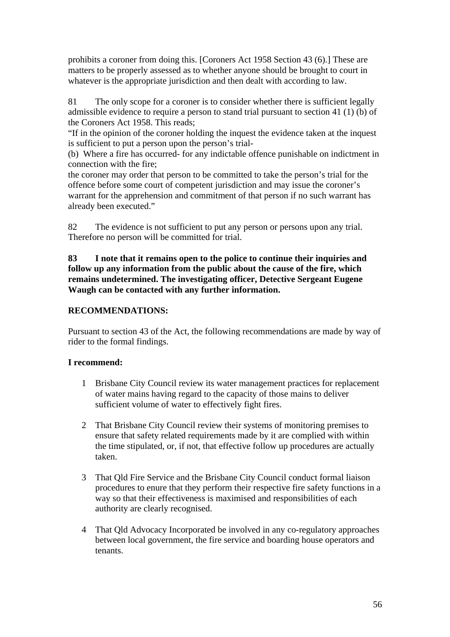prohibits a coroner from doing this. [Coroners Act 1958 Section 43 (6).] These are matters to be properly assessed as to whether anyone should be brought to court in whatever is the appropriate jurisdiction and then dealt with according to law.

81 The only scope for a coroner is to consider whether there is sufficient legally admissible evidence to require a person to stand trial pursuant to section 41 (1) (b) of the Coroners Act 1958. This reads;

"If in the opinion of the coroner holding the inquest the evidence taken at the inquest is sufficient to put a person upon the person's trial-

(b) Where a fire has occurred- for any indictable offence punishable on indictment in connection with the fire;

the coroner may order that person to be committed to take the person's trial for the offence before some court of competent jurisdiction and may issue the coroner's warrant for the apprehension and commitment of that person if no such warrant has already been executed."

82 The evidence is not sufficient to put any person or persons upon any trial. Therefore no person will be committed for trial.

#### **83 I note that it remains open to the police to continue their inquiries and follow up any information from the public about the cause of the fire, which remains undetermined. The investigating officer, Detective Sergeant Eugene Waugh can be contacted with any further information.**

### **RECOMMENDATIONS:**

Pursuant to section 43 of the Act, the following recommendations are made by way of rider to the formal findings.

#### **I recommend:**

- 1 Brisbane City Council review its water management practices for replacement of water mains having regard to the capacity of those mains to deliver sufficient volume of water to effectively fight fires.
- 2 That Brisbane City Council review their systems of monitoring premises to ensure that safety related requirements made by it are complied with within the time stipulated, or, if not, that effective follow up procedures are actually taken.
- 3 That Qld Fire Service and the Brisbane City Council conduct formal liaison procedures to enure that they perform their respective fire safety functions in a way so that their effectiveness is maximised and responsibilities of each authority are clearly recognised.
- 4 That Qld Advocacy Incorporated be involved in any co-regulatory approaches between local government, the fire service and boarding house operators and tenants.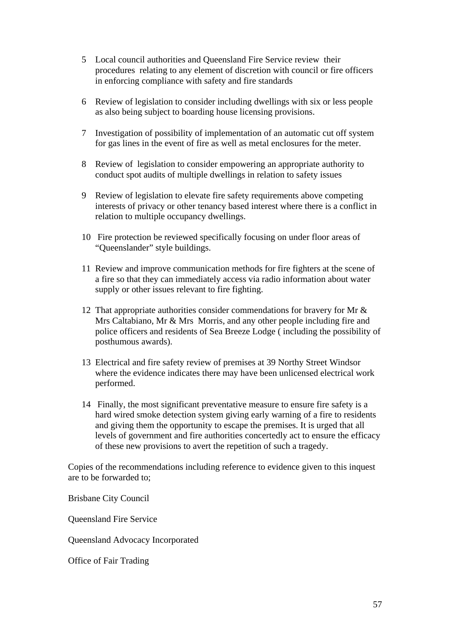- 5 Local council authorities and Queensland Fire Service review their procedures relating to any element of discretion with council or fire officers in enforcing compliance with safety and fire standards
- 6 Review of legislation to consider including dwellings with six or less people as also being subject to boarding house licensing provisions.
- 7 Investigation of possibility of implementation of an automatic cut off system for gas lines in the event of fire as well as metal enclosures for the meter.
- 8 Review of legislation to consider empowering an appropriate authority to conduct spot audits of multiple dwellings in relation to safety issues
- 9 Review of legislation to elevate fire safety requirements above competing interests of privacy or other tenancy based interest where there is a conflict in relation to multiple occupancy dwellings.
- 10 Fire protection be reviewed specifically focusing on under floor areas of "Queenslander" style buildings.
- 11 Review and improve communication methods for fire fighters at the scene of a fire so that they can immediately access via radio information about water supply or other issues relevant to fire fighting.
- 12 That appropriate authorities consider commendations for bravery for Mr & Mrs Caltabiano, Mr & Mrs Morris, and any other people including fire and police officers and residents of Sea Breeze Lodge ( including the possibility of posthumous awards).
- 13 Electrical and fire safety review of premises at 39 Northy Street Windsor where the evidence indicates there may have been unlicensed electrical work performed.
- 14 Finally, the most significant preventative measure to ensure fire safety is a hard wired smoke detection system giving early warning of a fire to residents and giving them the opportunity to escape the premises. It is urged that all levels of government and fire authorities concertedly act to ensure the efficacy of these new provisions to avert the repetition of such a tragedy.

Copies of the recommendations including reference to evidence given to this inquest are to be forwarded to;

Brisbane City Council

Queensland Fire Service

Queensland Advocacy Incorporated

Office of Fair Trading